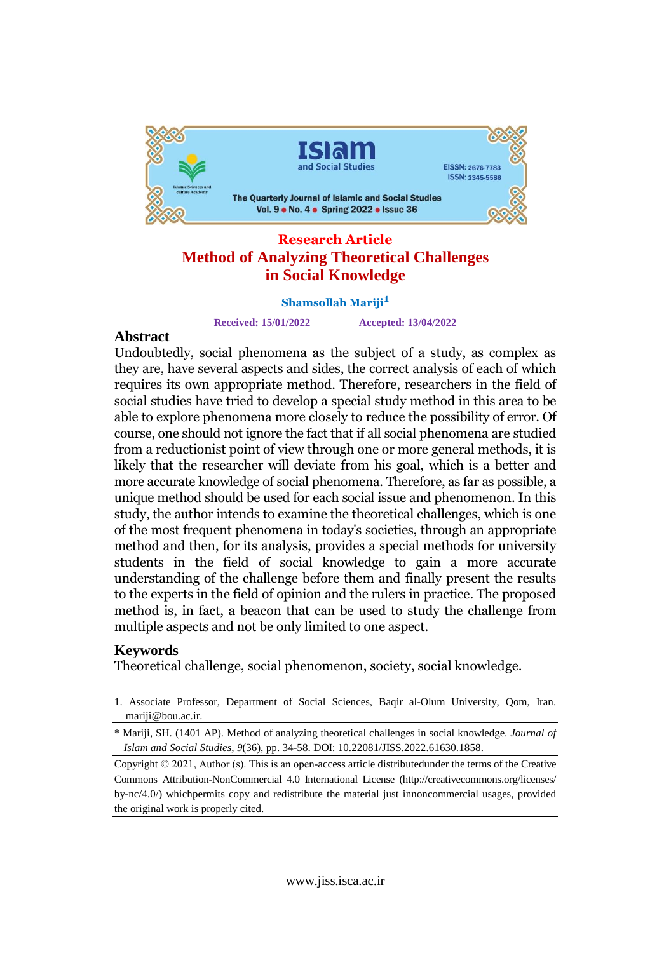

#### **Research Article Method of Analyzing Theoretical Challenges in Social Knowledge**

# **Shamsollah Mariji1**

**Received: 15/01/2022 Accepted: 13/04/2022**

#### Abstract

**Abstract**<br>Undoubtedly, social phenomena as the subject of a study, as complex as Undoubtedly, social phenomena as the subject of a study, as complex as<br>they are, have several aspects and sides, the correct analysis of each of which they are, have several aspects and sides, the correct analysis of each of which<br>requires its own appropriate method. Therefore, researchers in the field of requires its own appropriate method. Theretore, researchers in the field of<br>social studies have tried to develop a special study method in this area to be social studies have tried to develop a special study method in this area to be<br>able to explore phenomena more closely to reduce the possibility of error. Of able to explore phenomena more closely to reduce the possibility of error. Of<br>course, one should not ignore the fact that if all social phenomena are studied course, one should not ignore the fact that if all social phenomena are studied<br>from a reductionist point of view through one or more general methods, it is from a reductionist point of view through one or more general methods, it is<br>likely that the researcher will deviate from his goal, which is a better and likely that the researcher will deviate from his goal, which is a better and<br>more accurate knowledge of social phenomena. Therefore, as far as possible, a more accurate knowledge of social phenomena. Theretore, as far as possible, a<br>unique method should be used for each social issue and phenomenon. In this unique method should be used tor each social issue and phenomenon. In this<br>study, the author intends to examine the theoretical challenges, which is one study, the author intends to examine the theoretical challenges, which is one<br>of the most frequent phenomena in today's societies, through an appropriate ot the most frequent phenomena in today's societies, through an appropriate<br>method and then, for its analysis, provides a special methods for university method and then, tor its analysis, provides a special methods for university<br>students in the field of social knowledge to gain a more accurate students in the field of social knowledge to gain a more accurate<br>understanding of the challenge before them and finally present the results understanding ot the challenge betore them and finally present the results<br>to the experts in the field of opinion and the rulers in practice. The proposed to the experts in the field of opinion and the rulers in practice. The proposed<br>method is, in fact, a beacon that can be used to study the challenge from multiple aspects and not be only limited to one aspect.

### Keywords

Theoretical challenge, social phenomenon, society, social knowledge.

<sup>1.</sup> Associate Professor, Department of Social Sciences, Baqir al-Olum University, Qom, Iran. [mariji@bou.ac.ir.](mailto:mariji@bou.ac.ir.)

<sup>\*</sup> Mariji, SH. (1401 AP). Method of analyzing theoretical challenges in social knowledge. *Journal of Islam and Social Studies, 9*(36), pp. 34-58. DOI: 10.22081/JISS.2022.61630.1858.

Copyright © 2021, Author (s). This is an open-access article distributedunder the terms of the Creative Commons Attribution-NonCommercial 4.0 International License (http://creativecommons.org/licenses/ by-nc/4.0/) whichpermits copy and redistribute the material just innoncommercial usages, provided the original work is properly cited.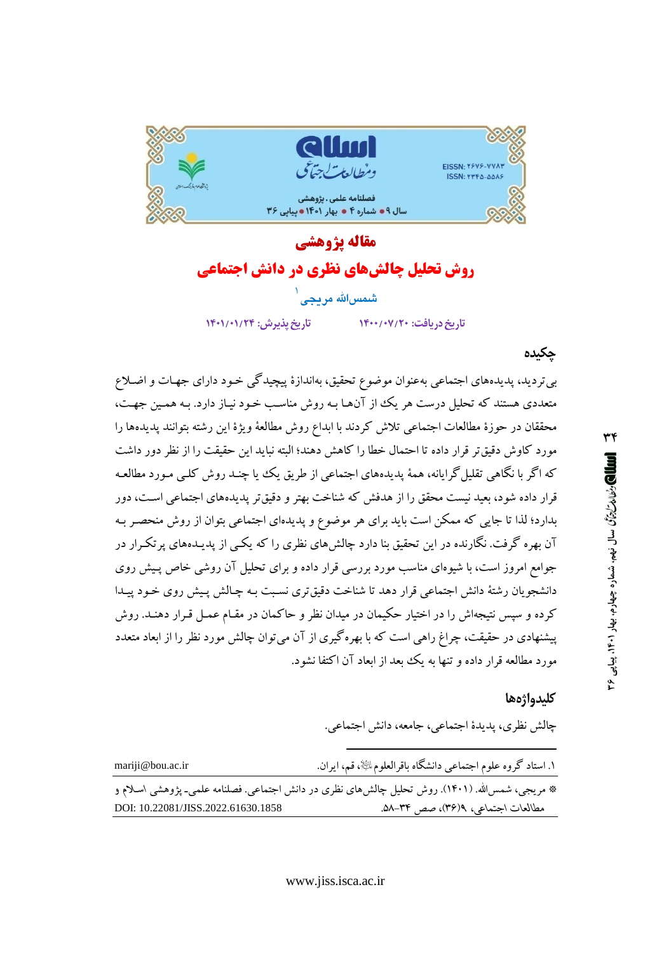

# مقاله يژوهشي **روش تحلیل چالشهای نظری در دانش اجتماعی**

شمسالله مريجى

تاريخ يذيرش: ١٣٠١/٠١/٢٣

تاريخ دريافت: ١۴٠٠/٠٧/٢٠

#### چکیده

بی تردید، پدیدههای اجتماعی بهعنوان موضوع تحقیق، بهاندازهٔ پیچیدگی خـود دارای جهـات و اضـلاع متعددی هستند که تحلیل درست هر یک از آنها بـه روش مناسـب خـود نیـاز دارد. بـه همـین جهـت، محققان در حوزهٔ مطالعات اجتماعی تلاش کردند با ابداع روش مطالعهٔ ویژهٔ این رشته بتوانند پدیدهها را مورد كاوش دقيقتر قرار داده تا احتمال خطا را كاهش دهند؛ البته نبايد اين حقيقت را از نظر دور داشت که اگر با نگاهی تقلیل گرایانه، همهٔ پدیدههای اجتماعی از طریق یک ییا چنـد روش کلـی مـورد مطالعـه قرار داده شود، بعبد نیست محقق را از هدفش که شناخت بهتر و دقیق تر پدیدههای اجتماعی است، دور بدارد؛ لذا تا جایی که ممکن است باید برای هر موضوع و پدیدهای اجتماعی بتوان از روش منحصـر بـه آن بهره گرفت. نگارنده در این تحقیق بنا دارد چالش های نظری را که یکـی از پدیـدههای پر تکـرار در جوامع امروز است، با شیوهای مناسب مورد بررسی قرار داده و برای تحلیل آن روشی خاص پـیش روی دانشجویان رشتهٔ دانش اجتماعی قرار دهد تا شناخت دقیق تری نسبت بـه چـالش پـیش روی خـود پیـدا کرده و سپس نتیجهاش را در اختیار حکیمان در میدان نظر و حاکمان در مقـام عمـل قـرار دهنـد. روش پیشنهادی در حقیقت، چراغ راهی است که با بهرهگیری از آن می توان چالش مورد نظر را از ابعاد متعدد مورد مطالعه قرار داده و تنها به یک بعد از ابعاد آن اکتفا نشود.

#### كليدواژهها

چالش نظري، پديدهٔ اجتماعي، جامعه، دانش اجتماعي.

| mariji@bou.ac.ir                                                                               | ١. استاد گروه علوم اجتماعی دانشگاه باقرالعلومﷺ، قم، ايران. |
|------------------------------------------------------------------------------------------------|------------------------------------------------------------|
| * مریجی، شمس۱لله. (۱۴۰۱). روش تحلیل چالش۵ای نظری در دانش اجتماعی. فصلنامه علمی۔ پژوهشی اسلام و |                                                            |
| DOI: 10.22081/JISS.2022.61630.1858                                                             | مطالعات اجتماعی، ۹(۳۶)، صص ۳۴–۵۸.                          |

٣۴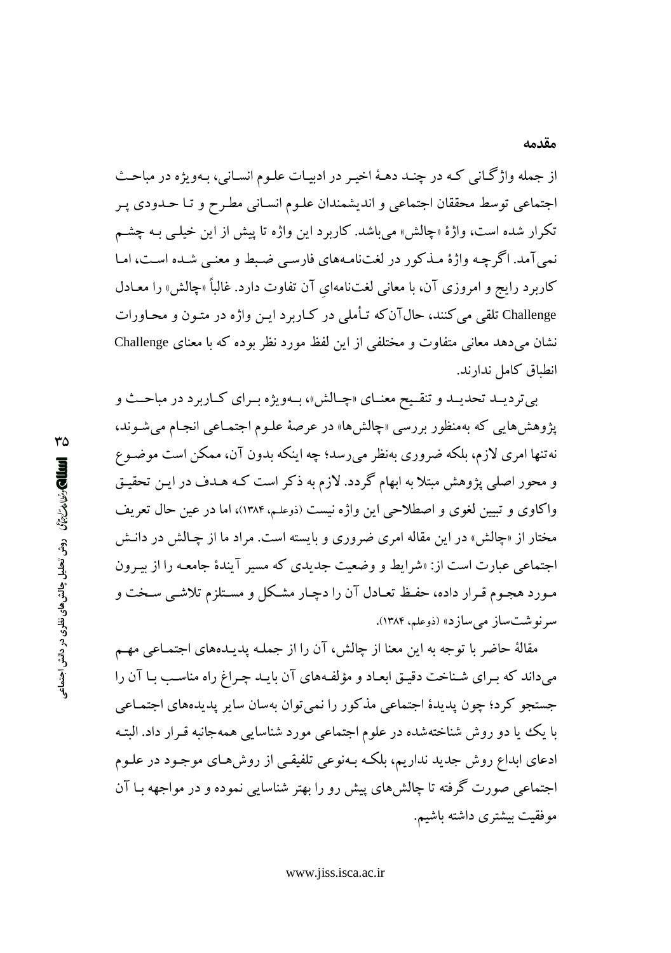از جمله واژگاني كه در چنـد دهـهٔ اخيـر در ادبيـات علـوم انسـاني، بـهويژه در مباحـث اجتماعي توسط محققان اجتماعي و انديشمندان علـوم انسـاني مطـرح و تـا حـدودي پـر تکرار شده است، واژهٔ «چالش» میباشد. کاربرد این واژه تا پیش از این خیلـی بـه چشـم نمي آمد. اگر چـه واژهٔ مـذکور در لغتنامـههاي فارسـي ضـبط و معنـي شـده اسـت، امـا کاربرد رایج و امروزی آن، با معانی لغتنامهای آن تفاوت دارد. غالباً «چالش» را معـادل Challenge تلقی می کنند، حال آن که تـأملی در کـاربر د ايـن واژه در متـون و محـاورات نشان میدهد معانی متفاوت و مختلفی از این لفظ مورد نظر بوده که با معنای Challenge انطباق كامل ندارند.

بي ترديــد تحديــد و تنقــيح معنــاي «چـالش»، بــهويژه بــراي كــاربرد در مباحــث و پژوهشهایی که بهمنظور بررسی «چالشها» در عرصهٔ علـوم اجتمـاعی انجـام میشـوند، نهتنها امری لازم، بلکه ضروری بهنظر می رسد؛ چه اینکه بدون آن، ممکن است موضـوع و محور اصلی پژوهش مبتلا به ابهام گردد. لازم به ذکر است کـه هـدف در ايـن تحقيـق واکاوی و تبیین لغوی و اصطلاحی این واژه نیست (ذوعلم، ۱۳۸۴)، اما در عین حال تعریف مختار از «چالش» در این مقاله امری ضروری و بایسته است. مراد ما از چـالش در دانـش اجتماعی عبارت است از: «شرایط و وضعیت جدیدی که مسیر آیندهٔ جامعـه را از بیـرون مـورد هجـوم قـرار داده، حفـظ تعـادل آن را دچـار مشـكل و مسـتلزم تلاشـي سـخت و سر نوشت ساز مي سازد» (ذوعلم، ۱۳۸۴).

مقالهٔ حاضر با توجه به این معنا از چالش، آن را از جملـه پدیـدههای اجتمـاعی مهـم میداند که برای شناخت دقیق ابعاد و مؤلفههای آن بایـد چـراغ راه مناسـب بـا آن را جستجو کرد؛ چون پدیدهٔ اجتماعی مذکور را نمی توان بهسان سایر پدیدههای اجتمـاعی با یک یا دو روش شناختهشده در علوم اجتماعی مورد شناسایی همهجانبه قـرار داد. البتـه ادعای ابداع روش جدید نداریم، بلکـه بـهنوعی تلفیقـی از روشهـای موجـود در علـوم اجتماعی صورت گرفته تا چالشهای پیش رو را بهتر شناسایی نموده و در مواجهه بـا آن موفقيت بيشتري داشته باشيم.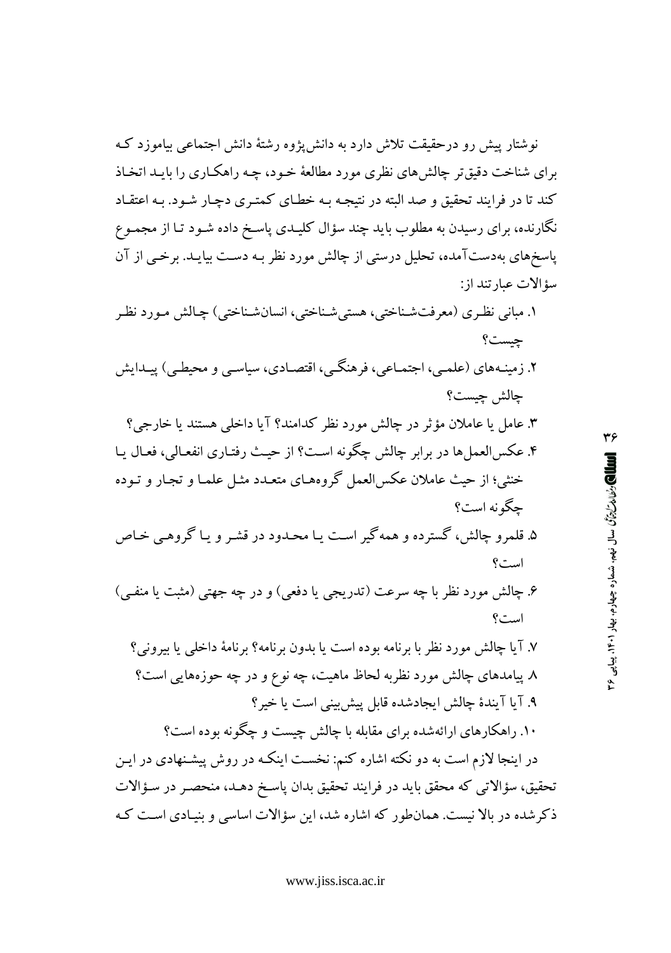نوشتار پیش رو درحقیقت تلاش دارد به دانش یژوه رشتهٔ دانش اجتماعی بیاموزد ک برای شناخت دقیقتر چالش های نظری مورد مطالعهٔ خـود، چـه راهکـاری را بابـد اتخـاذ کند تا در فرایند تحقیق و صد البته در نتیجه بـه خطـای کمتـری دچـار شـود. بـه اعتقـاد نگارنده، برای رسیدن به مطلوب باید چند سؤال کلیـدی پاسـخ داده شـود تـا از مجمـوع پاسخهای بهدستآمده، تحلیل درستی از چالش مورد نظر بـه دسـت بیایـد. برخـی از آن سؤ الات عبارتند از:

۱. مباني نظري (معرفتشناختي، هستي شناختي، انسان شناختي) چـالش مـورد نظـر چيست؟ ۲. زمینـههای (علمـی، اجتمـاعی، فرهنگـی، اقتصـادی، سیاسـی و محیطـی) پیـدایش جالش جست؟ ۳. عامل یا عاملان مؤثر در چالش مورد نظر کدامند؟ آیا داخلی هستند یا خارجی؟ ۴. عکسالعملها در برابر چالش چگونه است؟ از حیث رفتـاری انفعـالی، فعـال یـا خنثي؛ از حيث عاملان عكس العمل گروههـاي متعـدد مثـل علمـا و تجـار و تـوده چگونه است؟ ۵. قلمرو چالش، گسترده و همه گیر است یـا محـدود در قشـر و یـا گروهـی خـاص است؟ ۶. چالش مورد نظر با چه سرعت (تدریجی یا دفعی) و در چه جهتی (مثبت یا منفـی) است؟ ۷. آیا چالش مورد نظر با برنامه بوده است یا بدون برنامه؟ برنامهٔ داخلی یا بیرونی؟ ٨ پیامدهای چالش مورد نظربه لحاظ ماهیت، چه نوع و در چه حوزههایی است؟ ۹. آیا آیندهٔ چالش ایجادشده قابل پیش بینی است یا خیر؟ ۱۰. راهکارهای ارائهشده برای مقابله با چالش چیست و چگونه بوده است؟

در اینجا لازم است به دو نکته اشاره کنم: نخست اینکـه در روش پیشـنهادی در ایـن تحقیق، سؤالاتی که محقق باید در فرایند تحقیق بدان پاسـخ دهـد، منحصـر در سـؤالات ذکرشده در بالا نیست. همان طور که اشاره شد، این سؤالات اساسی و بنیـادی اسـت کـه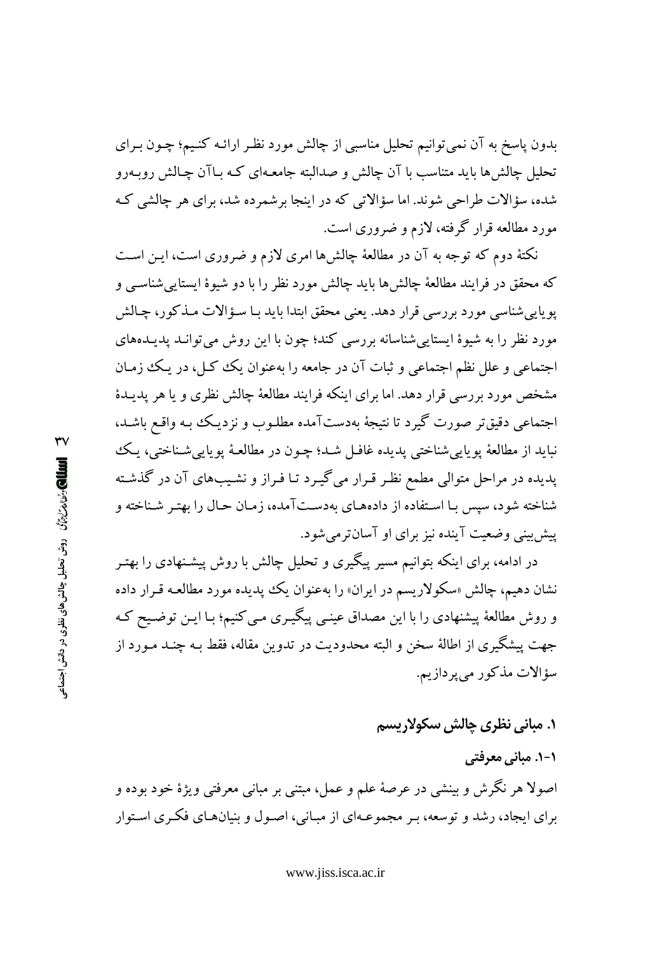بدون پاسخ به آن نمی توانیم تحلیل مناسبی از چالش مورد نظـر ارائـه کنـیـم؛ چـون بـرای تحلیل چالش ها باید متناسب با آن چالش و صدالبته جامعـهای کـه بـاآن چـالش روبــهرو شده، سؤالات طراحی شوند. اما سؤالاتی که در اینجا برشمرده شد، برای هر چالشی ک مورد مطالعه قرار گرفته، لازم و ضروری است.

نکتهٔ دوم که توجه به آن در مطالعهٔ چالشها امری لازم و ضروری است، ایـن اسـت که محقق در فرایند مطالعهٔ چالش ها باید چالش مورد نظر را با دو شیوهٔ ایستایی شناسبی و پويايي شناسي مورد بررسي قرار دهد. يعني محقق ابتدا بايد بـا سـؤالات مـذكور، چـالش مورد نظر را به شیوهٔ ایستایی شناسانه بررسی کند؛ چون با این روش می توانـد پدیـدههای اجتماعي و علل نظم اجتماعي و ثبات آن در جامعه را بهعنوان يک کـل، در يـک زمـان مشخص مورد بررسی قرار دهد. اما برای اینکه فرایند مطالعهٔ چالش نظری و یا هر یدیـدهٔ اجتماعی دقیقتر صورت گیرد تا نتیجهٔ بهدستآمده مطلـوب و نزدیـک بـه واقـع باشـد، نبايد از مطالعهٔ يوپايي شناختې پديده غافـل شـد؛ چـون در مطالعـهٔ يوپايي شـناختې، پـک پدیده در مراحل متوالی مطمع نظر قـرار میگیـرد تـا فـراز و نشـیبهای آن در گذشـته شناخته شود، سیس بـا اسـتفاده از دادههـای بهدسـتآمده، زمـان حـال را بهتـر شـناخته و ییش بینی وضعیت آینده نیز برای او آسانترمیشود.

در ادامه، برای اینکه بتوانیم مسیر پیگیری و تحلیل چالش با روش پیشـنهادی را بهتـر نشان دهیم، چالش «سکولاریسم در ایران» را بهعنوان یک پدیده مورد مطالعـه قـرار داده و روش مطالعهٔ پیشنهادی را با این مصداق عینبی پیگیری می کنیم؛ بـا ایـن توضـیح کـه جهت پیشگیری از اطالهٔ سخن و البته محدودیت در تدوین مقاله، فقط بـه چنـد مـورد از سؤالات مذكور مي پردازيم.

**۱. مبانی نظری چالش سکولاریسم** 

۱-۱. مبانی معرفتی اصولا هر نگرش و بینشی در عرصهٔ علم و عمل، مبتنی بر مبانی معرفتی ویژهٔ خود بوده و برای ایجاد، رشد و توسعه، بـر مجموعـهای از مبـانی، اصـول و بنیانهـای فکـری اسـتوار

 $\mathsf{rv}$ العالمي رُضا من جزِّم (وش تحليل چالش هاي نظري در دانش اجتماعو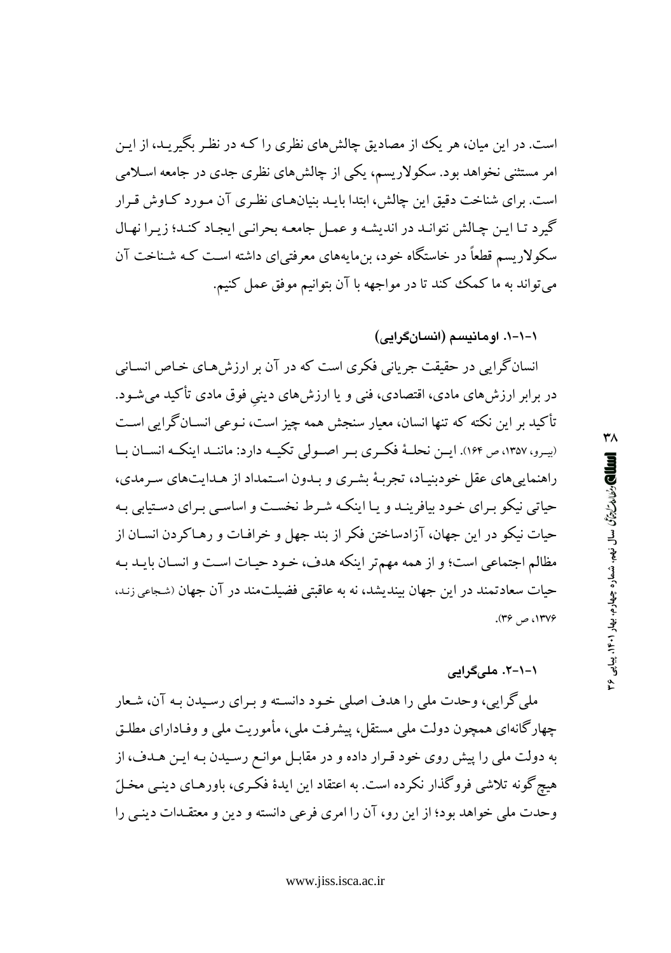است. در این میان، هر یک از مصادیق چالش های نظری را کـه در نظـر بگیریـد، از ایـن امر مستثنی نخواهد بود. سکولاریسم، یکی از چالش های نظری جدی در جامعه اسـلامی است. برای شناخت دقیق این چالش، ابتدا بایـد بنیانهـای نظـری آن مـورد کـاوش قـرار گیرد تبا این چالش نتوانید در اندیشه و عمل جامعه بحرانبی ایجاد کنید؛ زیرا نهال سکولاریسم قطعاً در خاستگاه خود، بن.ایههای معرفتی|ی داشته است کـه شـناخت آن میتواند به ما کمک کند تا در مواجهه با آن بتوانیم موفق عمل کنیم.

١-١-١. اومانيسم (انسانگرايي)

انسانگرایی در حقیقت جریانی فکری است که در آن بر ارزش هـای خـاص انسـانی در برابر ارزش،های مادی، اقتصادی، فنی و یا ارزش،های دینی فوق مادی تأکید میشـود. تأکید بر این نکته که تنها انسان، معیار سنجش همه چیز است، نـوعی انســانگرایی اسـت (پیرو، ۱۳۵۷، ص ۱۶۴). ایس نحلیهٔ فکیری بیر اصبولی تکیبه دارد: ماننید اینکیه انسیان بیا راهنمایی های عقل خودبنیاد، تجربهٔ بشری و بـدون اسـتمداد از هـدایتهای سـرمدی، حیاتی نیکو بیرای خود بیافرینید و یا اینکه شیرط نخست و اساسبی بیرای دستیابی بیه حیات نیکو در این جهان، آزادساختن فکر از بند جهل و خرافـات و رهـاکردن انسـان از مظالم اجتماعی است؛ و از همه مهمتر اینکه هدف، خـود حیـات اسـت و انسـان بایـد بـه حیات سعادتمند در این جهان بیندیشد، نه به عاقبتی فضیلتمند در آن جهان (شجاعی زند. ۱۳۷۶، ص ۳۶).

## ۱-۱-۲. ملے گراہے

ملي گرايي، وحدت ملي را هدف اصلي خـود دانسـته و بـراي رسـيدن بـه آن، شـعار چهارگانهای همچون دولت ملی مستقل، پیشرفت ملی، مأموریت ملی و وفـادارای مطلـق به دولت ملي را پيش روي خود قـرار داده و در مقابـل موانـع رسـيدن بـه ايـن هـدف، از هیچ گونه تلاشی فروگذار نکرده است. به اعتقاد این ایدهٔ فکری، باورهـای دینـی مخـلّ وحدت ملي خواهد بود؛ از اين رو، آن را امرى فرعي دانسته و دين و معتقـدات دينـي را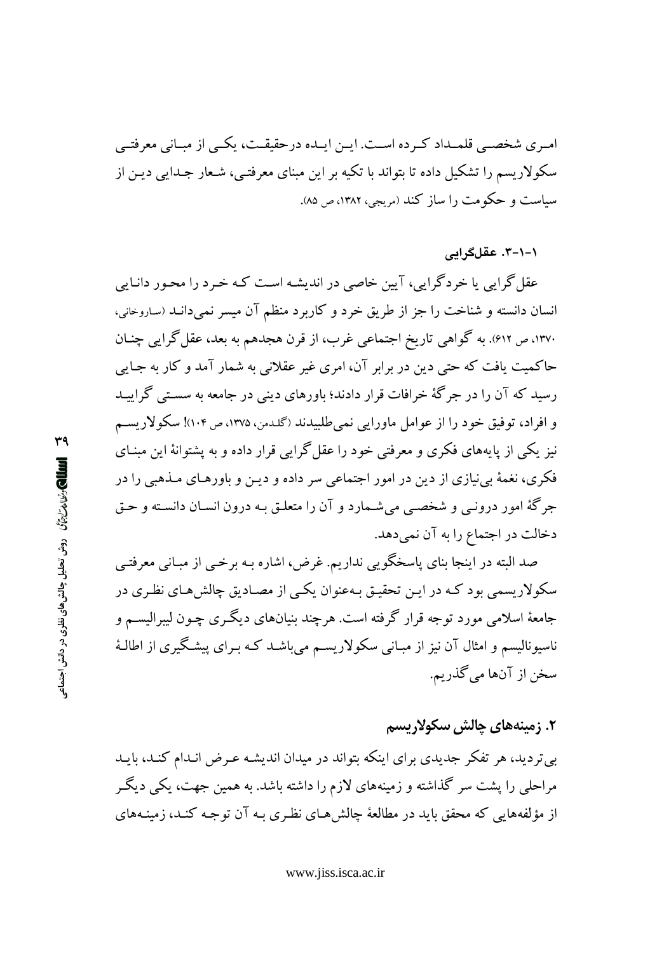امـري شخصـي قلمـداد كـرده اسـت. ايـن ايـده درحقيقـت، يكـي از مبـاني معرفتـي سکولاریسم را تشکیل داده تا بتواند با تکیه بر این مبنای معرفتبی، شـعار جـدابی دیـن از سیاست و حکومت را ساز کند (مریجی، ۱۳۸۲، ص ۸۵).

۱–۱–۳. عقلگرایی

عقل گرایی یا خردگرایی، آیین خاصی در اندیشه است کـه خـرد را محـور دانـایی انسان دانسته و شناخت را جز از طریق خرد و کاربرد منظم آن میسر نمیدانـد (ساروخانی، ۱۳۷۰، ص ۶۱۲). به گواهی تاریخ اجتماعی غرب، از قرن هجدهم به بعد، عقل گرایی چنان حاکمیت یافت که حتی دین در برابر آن، امری غیر عقلانی به شمار آمد و کار به جـایی رسید که آن را در جرگهٔ خرافات قرار دادند؛ باورهای دینی در جامعه به سستی گراییـد و افراد، توفيق خود را از عوامل ماورايي نمي طلبيدند (گلدمن، ١٣٧٥، ص١٠٢)! سكولاريسم نیز یکی از پایههای فکری و معرفتی خود را عقل گرایی قرار داده و به پشتوانهٔ این مبنـای فکري، نغمهٔ بي نيازي از دين در امور اجتماعي سر داده و ديـن و باورهـاي مــذهبي را در جرگهٔ امور درونبي و شخصبي مي شـمارد و آن را متعلـق بـه درون انسـان دانسـته و حـق دخالت در اجتماع را به آن نمیدهد.

صد البته در اینجا بنای پاسخگویی نداریم. غرض، اشاره بـه برخـی از مبـانـی معرفتـی سکولاریسمی بود کـه در ایـن تحقیـق بـهعنوان یکـی از مصـادیق چالش۵حای نظـری در جامعهٔ اسلامی مورد توجه قرار گرفته است. هرچند بنیانهای دیگری چـون لیبرالیســم و ناسیونالیسم و امثال آن نیز از مبـانبی سکولاریسـم میباشـد کـه بـرای پیشـگیری از اطالـهٔ سخن از آنها ميگذريم.

٢. زمينەھاي چالش سكولاريسم

بی تردید، هر تفکر جدیدی برای اینکه بتواند در میدان اندیشه عـرض انـدام کنـد، بایـد مراحلی را پشت سر گذاشته و زمینههای لازم را داشته باشد. به همین جهت، یکی دیگـر از مؤلفههایی که محقق باید در مطالعهٔ چالش هـای نظـری بـه آن توجـه کنـد، زمینـههای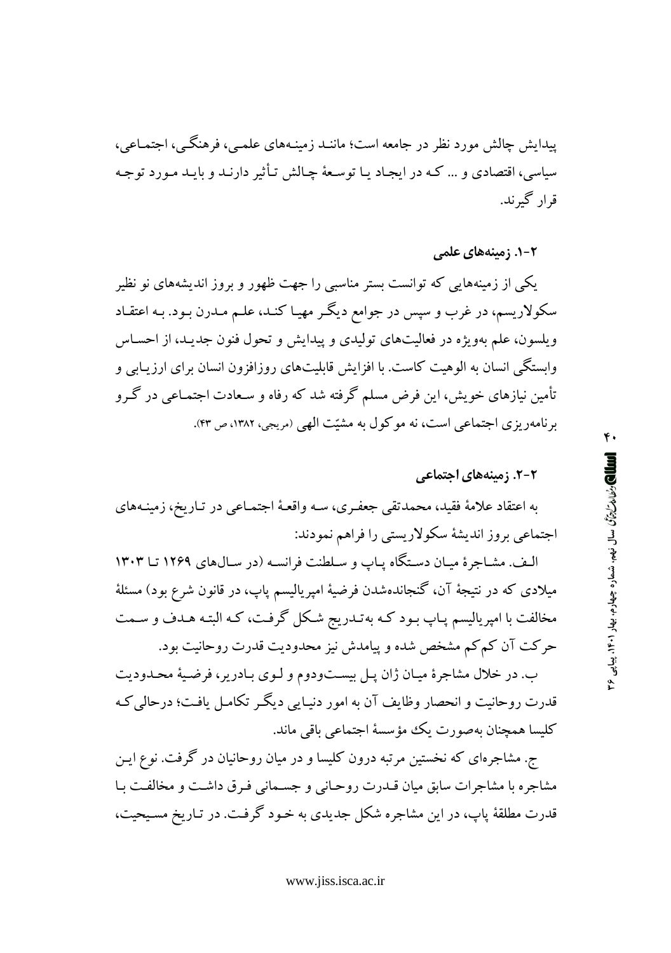پیدایش چالش مورد نظر در جامعه است؛ ماننـد زمینـههای علمـبی، فرهنگـبی، اجتمـاعبی، سیاسی، اقتصادی و … کـه در ایجـاد پـا توسـعهٔ چـالش تـأثیر دارنـد و بایـد مـورد توجـه قرار گېرند.

#### ۲-۱. زمینههای علمی

یکی از زمینههایی که توانست بستر مناسبی را جهت ظهور و بروز اندیشههای نو نظیر سکولاریسم، در غرب و سپس در جوامع دیگـر مهیـا کنـد، علـم مـدرن بـود. بـه اعتقـاد ویلسون، علم بهویژه در فعالیتهای تولیدی و پیدایش و تحول فنون جدیـد، از احسـاس وابستگی انسان به الوهیت کاست. با افزایش قابلیتهای روزافزون انسان برای ارزیـابی و تأمین نیازهای خویش، این فرض مسلم گرفته شد که رفاه و سـعادت اجتمـاعی در گـرو برنامهریزی اجتماعی است، نه موکول به مشیّت الهی (مریجی، ۱۳۸۲، ص ۴۳).

#### ۲-۲. زمینههای اجتماعی

به اعتقاد علامهٔ فقید، محمدتقی جعفـری، سـه واقعـهٔ اجتمـاعی در تـاریخ، زمینـههای اجتماعی بروز اندیشهٔ سکولاریستی را فراهم نمودند:

الـف. مشـاجرة ميـان دسـتگاه يـاب و سـلطنت فرانسـه (در سـال184 يــا ١٢٠٣ تـا ١٣٠٣ میلادی که در نتیجهٔ آن، گنجاندهشدن فرضیهٔ امپریالیسم پاپ، در قانون شرع بود) مسئلهٔ مخالفت با امپریالیسم پـاپ بـود کـه بهتـدریج شـکل گرفـت، کـه البتـه هـدف و سـمت حرکت آن کم کم مشخص شده و پیامدش نیز محدودیت قدرت روحانیت بود.

ب. در خلال مشاجرهٔ میـان ژان پـل بیسـتودوم و لـوی بـادریر، فرضـیهٔ محـدودیت قدرت روحانیت و انحصار وظایف آن به امور دنیـایی دیگـر تکامـل یافـت؛ درحالی کـه كليسا همچنان بهصورت يك مؤسسهٔ اجتماعي باقي ماند.

ج. مشاجرهای که نخستین مرتبه درون کلیسا و در میان روحانیان در گرفت. نوع ایـن مشاجره با مشاجرات سابق میان قـدرت روحـانی و جسـمانی فـرق داشـت و مخالفـت بـا قدرت مطلقهٔ پاپ، در این مشاجره شکل جدیدی به خـود گرفـت. در تـاریخ مسـیحیت،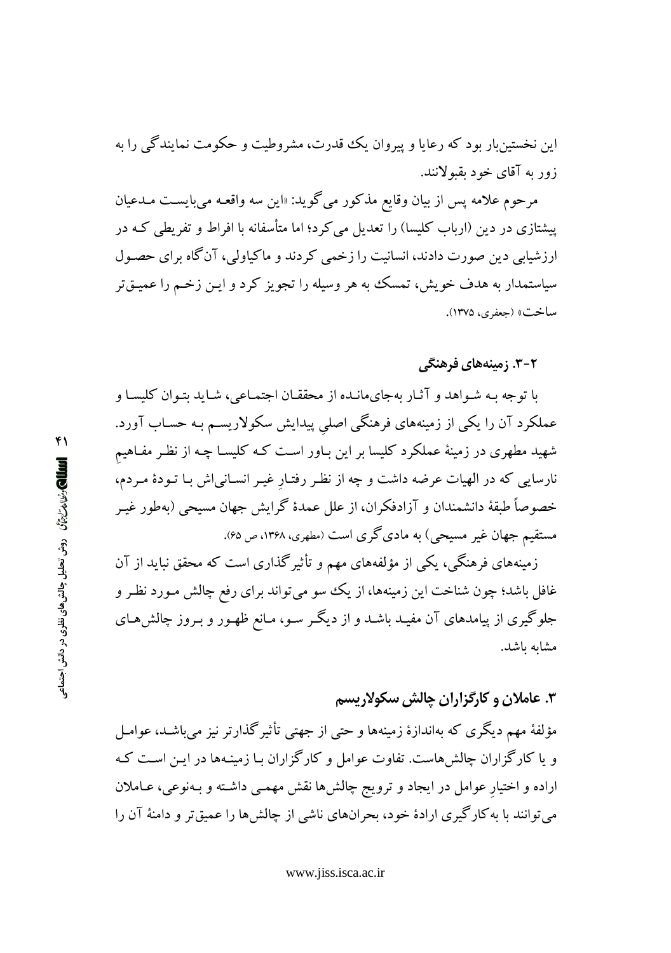این نخستینبار بود که رعایا و پیروان یک قدرت، مشروطیت و حکومت نمایندگی را به زور به آقای خود بقبولانند.

مرحوم علامه پس از بیان وقایع مذکور میگوید: «این سه واقعـه میبایسـت مـدعیان پیشتازی در دین (ارباب کلیسا) را تعدیل می کرد؛ اما متأسفانه با افراط و تفریطی کـه در ارزشیابی دین صورت دادند، انسانیت را زخمی کردند و ماکیاولی، آنگاه برای حصـول سیاستمدار به هدف خویش، تمسک به هر وسیله را تجویز کرد و ایـن زخـم را عمیـقتر ساخت» (جعفري، ١٣٧۵).

**۲-۳. زمینههای فرهنگی** 

با توجه به شواهد و آثار بهجای مانـده از محققـان اجتمـاعی، شـايد بتـوان كليسـا و عملکرد آن را یکی از زمینههای فرهنگی اصلی پیدایش سکولاریسـم بـه حسـاب آورد. شهید مطهری در زمینهٔ عملکرد کلیسا بر این بـاور اسـت کـه کلیسـا چـه از نظـر مفـاهیم نارسایی که در الهیات عرضه داشت و چه از نظر رفتار غیـر انسـانی|ش بـا تـودهٔ مـردم، خصوصاً طبقهٔ دانشمندان و آزادفکران، از علل عمدهٔ گرایش جهان مسیحی (بهطور غیـر مستقیم جهان غیر مسیحی) به مادیگری است (مطهری، ۱۳۶۸، ص ۶۵).

زمینههای فرهنگی، یکی از مؤلفههای مهم و تأثیرگذاری است که محقق نباید از آن غافل باشد؛ چون شناخت این زمینهها، از یک سو می تواند برای رفع چالش مـورد نظـر و جلوگیری از پیامدهای آن مفیـد باشـد و از دیگـر سـو، مـانع ظهـور و بـروز چالش۵مـای مشابه باشد.

۳. عاملان و کارگزاران چالش سکولاریسم

مؤلفهٔ مهم دیگری که بهاندازهٔ زمینهها و حتبی از جهتبی تأثیر گذارتر نیز می باشـد، عوامـل و یا کارگزاران چالش هاست. تفاوت عوامل و کارگزاران بـا زمینـهها در ایـن اسـت کـه اراده و اختیار عوامل در ایجاد و ترویج چالشها نقش مهمـی داشـته و بـهنوعی، عـاملان می توانند با به کارگیری ارادهٔ خود، بحرانهای ناشی از چالش ها را عمیق تر و دامنهٔ آن را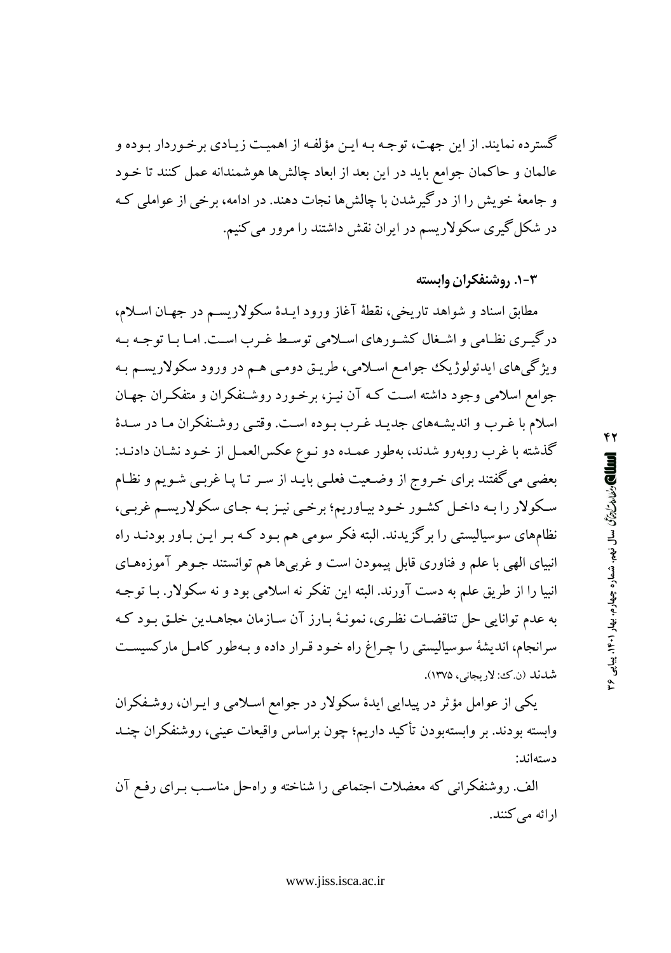گستر ده نمایند. از این جهت، توجه بـه ایـن مؤلفـه از اهمیـت زیـادي برخـوردار بـوده و عالمان و حاکمان جوامع باید در این بعد از ابعاد چالشها هوشمندانه عمل کنند تا خـود و جامعهٔ خویش را از درگیرشدن با چالشها نجات دهند. در ادامه، برخی از عواملی ک در شکل گیری سکولاریسم در ایران نقش داشتند را مرور می کنیم.

۰۳-۱. روشنفکران وابسته

مطابق اسناد و شواهد تاريخي، نقطهٔ آغاز ورود ايـدهٔ سکولاريسـم در جهـان اسـلام، درگیـری نظـامی و اشـغال کشـورهای اسـلامی توسـط غـرب اسـت. امـا بـا توجـه بـه ویژگیهای ایدئولوژیک جوامع اسلامی، طریـق دومـی هـم در ورود سکولاریسـم بـه جوامع اسلامی وجود داشته است کـه آن نیـز، برخـورد روشـنفکران و متفکـران جهـان اسلام با غـرب و اندیشـههای جدیـد غـرب بـوده اسـت. وقتـی روشـنفكران مـا در سـدهٔ گذشته با غرب روبهرو شدند، بهطور عمـده دو نـوع عكسالعمـل از خـود نشـان دادنـد: بعضی می گفتند برای خـروج از وضـعیت فعلـی بایـد از سـر تـا پـا غربـی شـویـم و نظـام سکولار را بـه داخـل کشـور خـود بيـاوريم؛ برخـي نيـز بـه جـاي سکولاريسـم غربـي، نظامهای سوسیالیستی را برگزیدند. البته فکر سومی هم بـود کـه بـر ایـن بـاور بودنــد راه انبیای الهی با علم و فناوری قابل پیمودن است و غربیها هم توانستند جـوهر آموزههـای انبیا را از طریق علم به دست آورند. البته این تفکر نه اسلامی بود و نه سکولار. بـا توجـه به عدم توانایی حل تناقضات نظری، نمونـهٔ بـارز آن سـازمان مجاهــدین خلـق بـود کـه سرانجام، اندیشهٔ سوسیالیستی را چـراغ راه خـود قـرار داده و بـهطور کامـل مارکسیسـت شدند (ن کن: لار يجاني، ١٣٧۵).

یکی از عوامل مؤثر در پیدایی ایدهٔ سکولار در جوامع اسلامی و ایـران، روشـفکران وابسته بودند. بر وابستهبودن تأكيد داريم؛ چون براساس واقيعات عيني، روشنفكران چنــد دستەاند:

الف ووشنفکرانی که معضلات اجتماعی را شناخته و راهحل مناسب بـرای رفـع آن ارائه مي كنند. ۴۲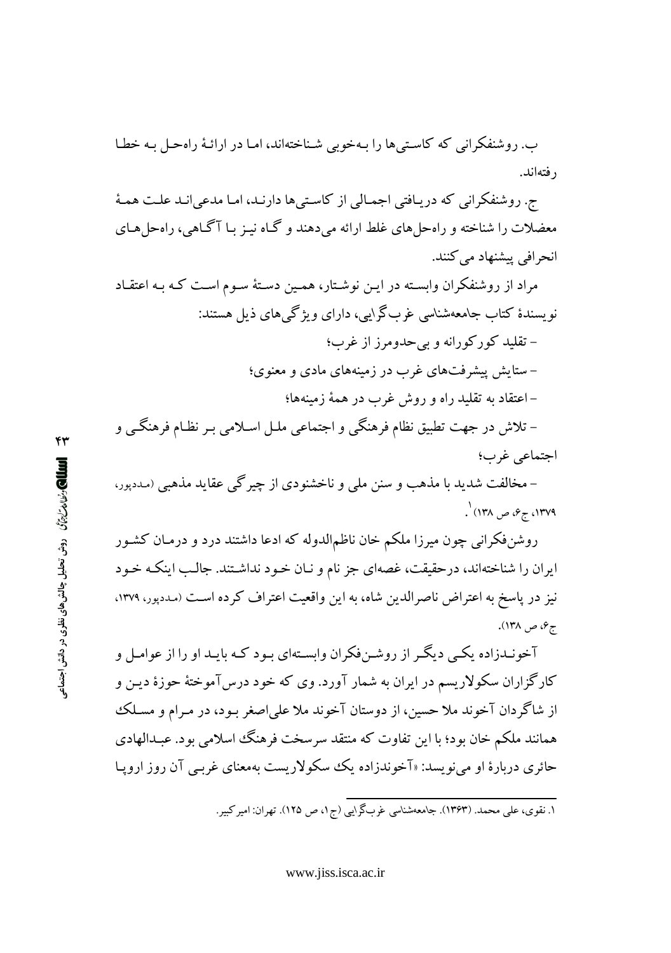ب. روشنفکرانی که کاستی ها را بـهخوبی شـناختهاند، امـا در ارائـهٔ راهحـل بـه خطـا ر فتەاند.

ج. روشنفکرانی که دریـافتی اجمـالی از کاسـتیها دارنـد، امـا مدعی|نـد علـت همـهٔ معضلات را شناخته و راه حل های غلط ارائه می دهند و گـاه نیـز بـا آگـاهی، راه حل هـای انحرافی پیشنهاد می کنند.

مراد از روشنفکران وابسته در ایـن نوشـتار، همـین دسـتهٔ سـوم اسـت کـه بـه اعتقـاد نویسندهٔ کتاب جامعهشناسی غربگرایی، دارای ویژگی های ذیل هستند: – تقلید کورکورانه و بی حدومرز از غرب؛ – ستایش پیشرفتهای غرب در زمینههای مادی و معنوی؛ – اعتقاد به تقلید راه و روش غرب در همهٔ زمینهها؛ – تلاش در جهت تطبیق نظام فرهنگی و اجتماعی ملـل اسـلامی بـر نظـام فرهنگــی و

اجتماعي غرب؛

– مخالفت شدید با مذهب و سنن ملی و ناخشنودی از چیرگی عقاید مذهبی (مددپور، ۰۱۳۷۹، ج۶، ص ۱۳۸) <sup>۱</sup>.

روشنفکرانی چون میرزا ملکم خان ناظمالدوله که ادعا داشتند درد و درمـان کشـور ایران را شناختهاند، درحقیقت، غصهای جز نام و نـان خـود نداشـتند. جالـب اینکـه خـود نیز در پاسخ به اعتراض ناصرالدین شاه، به این واقعیت اعتراف کرده است (مددپور، ۱۳۷۹، ج¢، ص ۱۳۸).

آخونـدزاده یکـی دیگـر از روشـنفکران وابسـتهای بـود کـه بایـد او را از عوامـل و کارگزاران سکولاریسم در ایران به شمار آورد. وی که خود درس آموختهٔ حوزهٔ دیـن و از شاگردان آخوند ملا حسین، از دوستان آخوند ملا علی|صغر بـود، در مـرام و مسـلک همانند ملکم خان بود؛ با این تفاوت که منتقد سرسخت فرهنگ اسلامی بود. عبـدالهادی حائری دربارهٔ او می نویسد: «آخوندزاده یک سکولاریست بهمعنای غربـی آن روز اروپـا

۱. نقوی، علی محمد (۱۳۶۳). جامعهشناسی غربگرایی (ج۱، ص ۱۲۵). تهران: امیرکبیر.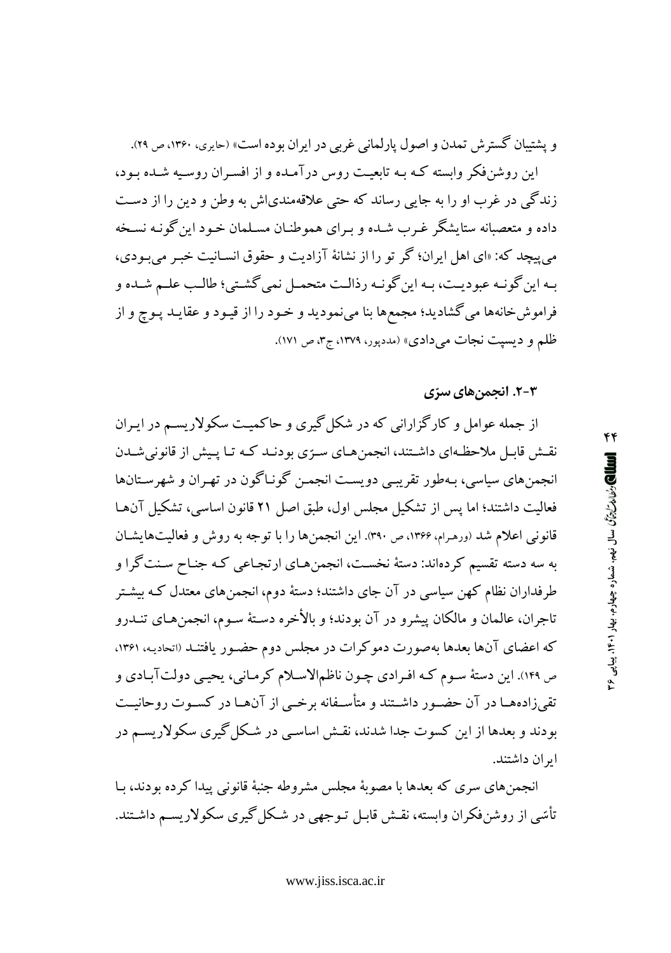و يشتيبان گسترش تمدن و اصول پارلماني غربي در ايران بوده است» (حايري، ١٣۶٠، ص ٢٩).

این روشنفکر وابسته کـه بـه تابعیـت روس درآمـده و از افسـران روسـیه شـده بـود، زندگی در غرب او را به جایی رساند که حتی علاقهمندیاش به وطن و دین را از دست داده و متعصبانه ستایشگر غـرب شـده و بـرای هموطنـان مسـلمان خـود این گونـه نسـخه مي پيچد كه: «اي اهل ايران؛ گر تو را از نشانهٔ آزاديت و حقوق انسـانيت خبـر مي بـودي، بـه اين گونـه عبوديـت، بـه اين گونـه رذالـت متحمـل نمي گشـتي؛ طالـب علـم شـده و فراموشخانهها می گشادید؛ مجمعها بنا مینمودید و خـود را از قیـود و عقایـد پـوچ و از ظلم و دیسپت نجات میدادی» (مددپور، ۱۳۷۹، ج۳، ص ۱۷۱).

### ۲-۳. انجمنهای سرّی

از جمله عوامل و کارگزارانی که در شکل گیری و حاکمیت سکولاریسم در ایـران نقش قابـل ملاحظـهای داشـتند، انجمنهـای سـرّی بودنـد کـه تـا پـیش از قانونی شـدن انجمنهای سیاسی، بـهطور تقریبی دویست انجمـن گونـاگون در تهـران و شهرسـتانها فعالیت داشتند؛ اما پس از تشکیل مجلس اول، طبق اصل ۲۱ قانون اساسی، تشکیل آنها قانونی اعلام شد (ورهـرام، ۱۳۶۶، ص ۳۹۰). این انجمنها را با توجه به روش و فعالیتهایشـان به سه دسته تقسیم کردهاند: دستهٔ نخست، انجمنهـای ارتجـاعی کـه جنـاح سـنتگرا و طرفداران نظام کهن سیاسی در آن جای داشتند؛ دستهٔ دوم، انجمنهای معتدل کـه بیشـتر تاجران، عالمان و مالكان پیشرو در آن بودند؛ و بالأخره دستهٔ سـوم، انجمن هـاي تنــدرو كه اعضاي آنها بعدها بهصورت دموكرات در مجلس دوم حضـور يافتنـد (اتحاديـه، ۱۳۶۱، ص ۱۴۹). این دستهٔ سوم که افرادی چون ناظمالاسلام کرمانی، یحیی دولتآبادی و تقی;زادههـا در آن حضـور داشـتند و متأسـفانه برخــی از آنهـا در کسـوت روحانیــت بودند و بعدها از این کسوت جدا شدند، نقـش اساسـی در شـکل گیری سکولاریسـم در ابر ان داشتند.

انجمن های سری که بعدها با مصوبهٔ مجلس مشروطه جنبهٔ قانونی پیدا کرده بودند، بـا تأسّي از روشنفكران وابسته، نقـش قابـل تـوجهي در شـكل گيري سكولاريسـم داشـتند.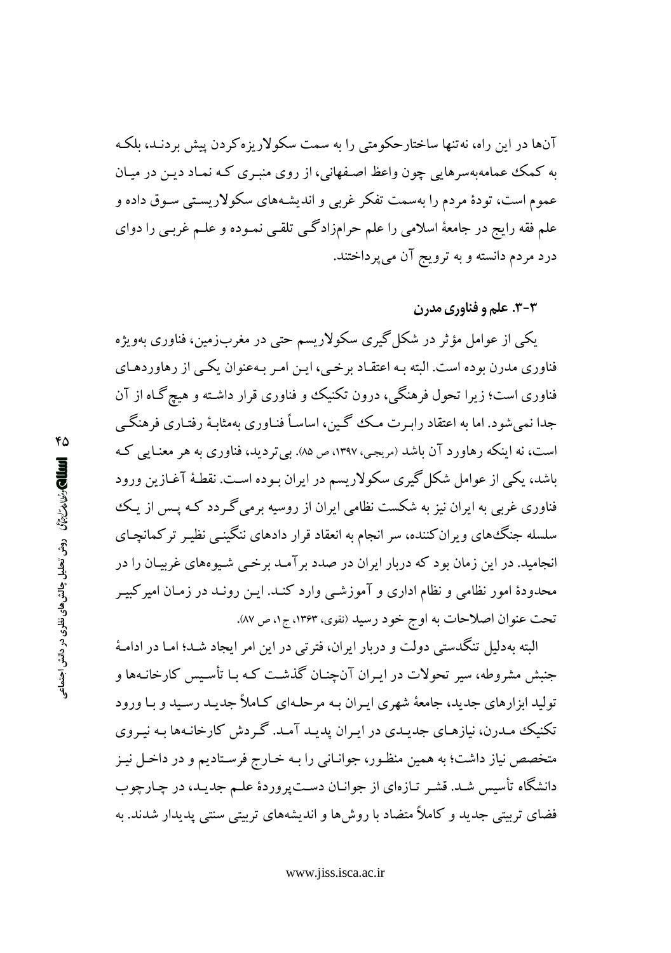آنها در این راه، نه تنها ساختارحکومتی را به سمت سکولاریزه کردن پیش بردنـد، بلکـه به کمک عمامهبهسرهایی چون واعظ اصفهانی، از روی منبری کـه نمـاد دیـن در میـان عموم است، تودهٔ مردم را بهسمت تفکر غربی و اندیشـههای سکولاریسـتی سـوق داده و علم فقه رایج در جامعهٔ اسلامی را علم حرامزادگی تلقبی نمـوده و علـم غربـی را دوای درد مردم دانسته و به ترویج آن می پرداختند.

### ۳-۳. علم و فناوري مدرن

يکې از عوامل مؤثر در شکل گيري سکولاريسم حتى در مغربزمين، فناوري بهويژه فناوری مدرن بوده است. البته بـه اعتقـاد برخـی، ایـن امـر بـهعنوان یکـی از رهاوردهـای فناوری است؛ زیرا تحول فرهنگی، درون تکنیک و فناوری قرار داشته و هیچ گـاه از آن جدا نمی شود. اما به اعتقاد رابـرت مـک گـین، اساسـاً فنـاوری بهمثابـهٔ رفتـاری فرهنگـی است، نه اینکه رهاورد آن باشد (مریجی، ۱۳۹۷، ص ۸۵). بی تردید، فناوری به هر معنـایی کـه باشد، یکی از عوامل شکل گیری سکولاریسم در ایران بـوده اسـت. نقطهٔ آغـازین ورود فناوری غربی به ایران نیز به شکست نظامی ایران از روسیه برمی گـردد کـه پـس از یـک سلسله جنگ،های ویران کننده، سر انجام به انعقاد قرار دادهای ننگینـی نظیـر ترکمانچـای انجامید. در این زمان بود که دربار ایران در صدد بر آمـد برخـی شـیوههای غربیـان را در محدودهٔ امور نظامی و نظام اداری و آموزشـی وارد کنـد. ایـن رونـد در زمـان امیر کبیـر تحت عنوان اصلاحات به اوج خود رسید (نقوی، ۱۳۶۳، ج۱، ص ۸۷).

البته بهدلیل تنگدستی دولت و دربار ایران، فترتی در این امر ایجاد شـد؛ امـا در ادامـهٔ جنبش مشروطه، سیر تحولات در ایـران آنچنـان گذشـت کـه بـا تأسـیس کارخانـهها و تولید ابزارهای جدید، جامعهٔ شهری ایـران بـه مرحلـهای کـاملاً جدیـد رسـید و بـا ورود تکنیک مدرن، نیازهای جدیدی در ایران پدید آمد. گردش کارخانهها به نیروی متخصص نیاز داشت؛ به همین منظـور، جوانـانی را بـه خـارج فرسـتادیم و در داخـل نیـز دانشگاه تأسیس شـد. قشـر تـازهای از جوانـان دسـتپروردهٔ علـم جدیـد، در چـارچوب فضای تربیتی جدید و کاملاً متضاد با روشها و اندیشههای تربیتی سنتی پدیدار شدند. به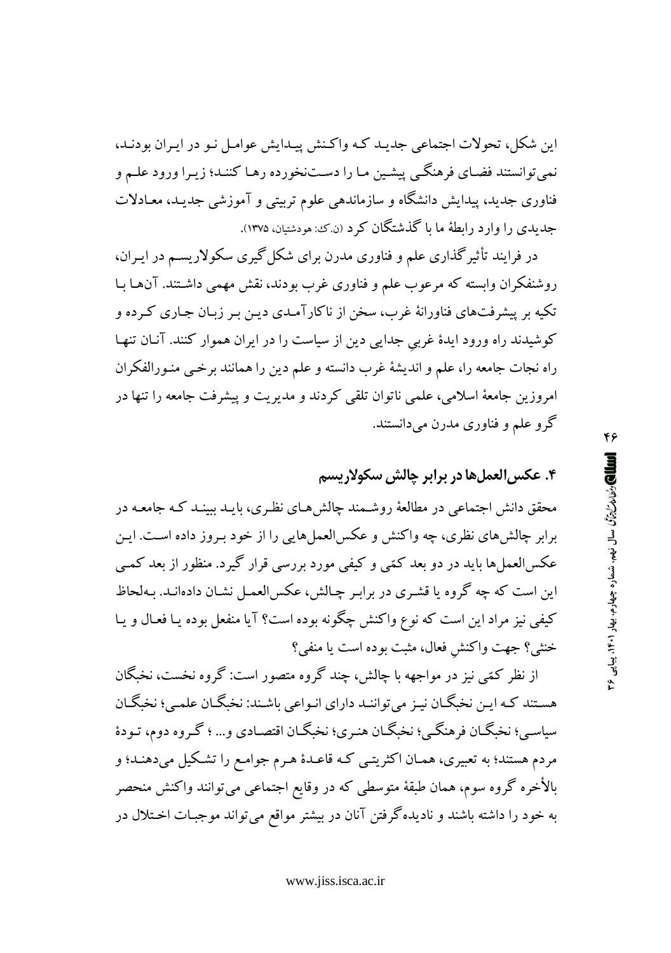این شکل، تحولات اجتماعی جدیـد کـه واکـنش پیـدایش عوامـل نـو در ایـران بودنـد، نمی توانستند فضای فرهنگی پیشین ما را دستنخورده رهـا کننـد؛ زیـرا ورود علـم و فناوری جدید، پیدایش دانشگاه و سازماندهی علوم تربیتی و آموزشی جدیـد، معـادلات جدیدی را وارد رابطهٔ ما با گذشتگان کرد (ن که: هودشتیان، ۱۳۷۵).

در فرایند تأثیرگذاری علم و فناوری مدرن برای شکل گیری سکولاریسـم در ایـران، روشنفکران وابسته که مرعوب علم و فناوری غرب بودند، نقش مهمی داشـتند. آنهـا بـا تکیه بر پیشرفتهای فناورانهٔ غرب، سخن از ناکارآمـدی دیـن بـر زبـان جـاری کـرده و کوشیدند راه ورود ایدهٔ غربی جدایی دین از سیاست را در ایران هموار کنند. آنان تنها راه نجات جامعه را، علم و انديشهٔ غرب دانسته و علم دين را همانند برخمي منـورالفكران امروزین جامعهٔ اسلامی، علمی ناتوان تلقی کردند و مدیریت و پیشرفت جامعه را تنها در گرو علم و فناوری مدرن میدانستند.

## ۴. عکس العمل ها در برابر چالش سکولاریسم

محقق دانش اجتماعی در مطالعهٔ روشـمند چالش۱مای نظـری، بایـد ببینـد کـه جامعـه در برابر چالش های نظری، چه واکنش و عکسالعمل هایی را از خود بـروز داده اسـت. ایـن عکسالعمل ها باید در دو بعد کمّی و کیفی مورد بررسی قرار گیرد. منظور از بعد کمبی این است که چه گروه یا قشـری در برابـر چـالش، عکسالعمـل نشـان دادهانـد. بـهلحاظ کیفی نیز مراد این است که نوع واکنش چگونه بوده است؟ آیا منفعل بوده یـا فعـال و یـا خنثي؟ جهت واكنش فعال، مثبت بوده است يا منفي؟

از نظر کمّی نیز در مواجهه با چالش، چند گروه متصور است: گروه نخست، نخبگان هستند کـه ايـن نخبگـان نيـز ميتواننـد داراي انـواعي باشـند: نخبگـان علمـي؛ نخبگـان سیاسے؛ نخبگــان فرهنگــی؛ نخبگــان هنــري؛ نخبگــان اقتصــادي و... ؛ گــروه دوم، تـودهٔ مردم هستند؛ به تعبیری، همـان اکثریتـی کـه قاعـدهٔ هـرم جوامـع را تشـکیل می دهنـد؛ و بالأخره گروه سوم، همان طبقهٔ متوسطی که در وقایع اجتماعی میتوانند واکنش منحصر به خود را داشته باشند و نادیده گرفتن آنان در بیشتر مواقع میتواند موجبـات اخـتلال در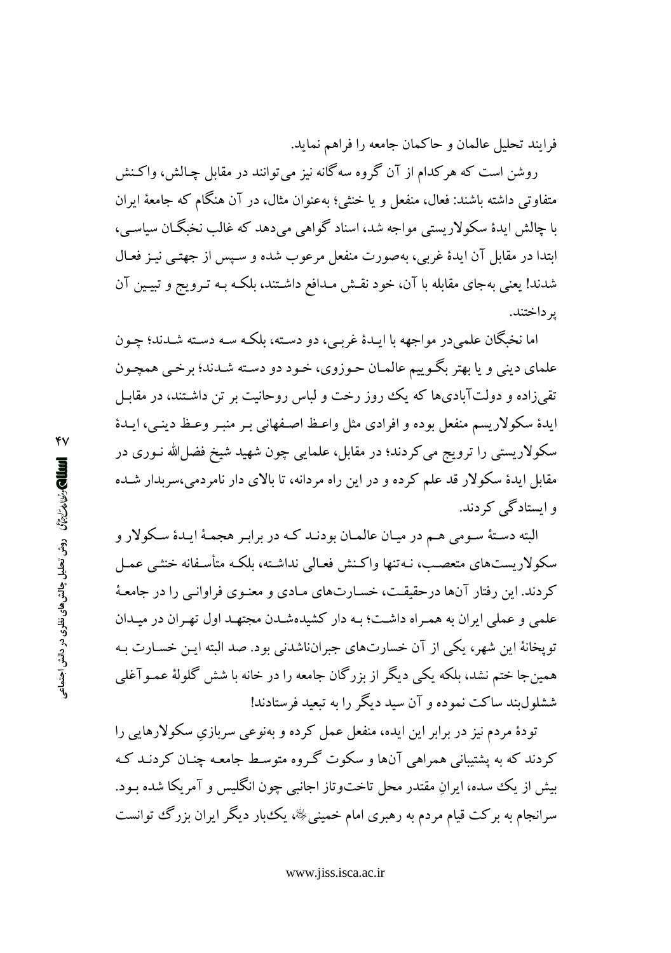فرايند تحليل عالمان و حاكمان جامعه را فراهم نمايد.

روشن است که هر کدام از آن گروه سهگانه نیز می توانند در مقابل چـالش، واکـنش متفاوتی داشته باشند: فعال، منفعل و یا خنثی؛ بهعنوان مثال، در آن هنگام که جامعهٔ ایران یا چالش ایدهٔ سکولار بستی مواجه شد، اسناد گواهی می دهد که غالب نخیگیان سیاسی، ابتدا در مقابل آن ایدهٔ غربی، بهصورت منفعل مرعوب شده و سـیس از جهتـی نیـز فعـال شدند! یعنی بهجای مقابله با آن، خود نقـش مـدافع داشـتند، بلکـه بـه تـرویج و تبیـین آن ير داختند.

اما نخبگان علميدر مواجهه با ايـدۀ غربـي، دو دسـته، بلكـه سـه دسـته شـدند؛ چـون علماي ديني و يا بهتر بگـوييم عالمـان حـوزوي، خـود دو دسـته شـدند؛ برخـي همچـون تقی زاده و دولتآبادیها که یک روز رخت و لباس روحانیت بر تن داشتند، در مقابل ایدهٔ سکولاریسم منفعل بوده و افرادی مثل واعظ اصفهانی بـر منبـر وعـظ دینـم، ایـدهٔ سکولاریستی را ترویج می کردند؛ در مقابل، علمایی چون شهید شیخ فضل\لله نـوری در مقابل ایدهٔ سکولار قد علم کرده و در این راه مردانه، تا بالای دار نامردمی،سربدار شـده و ایستادگے کہ دند.

البته دستهٔ سـومی هـم در میـان عالمـان بودنـد کـه در برابـر هجمـهٔ ایـدهٔ سـکولار و سکولاریستهای متعصب، نـهتنها واکـنش فعـالی نداشـته، بلکـه متأسـفانه خنثـی عمـل کردند. این رفتار آنها درحقیقت، خسارتهای مادی و معنـوی فراوانـی را در جامعـهٔ علمی و عملی ایران به همراه داشت؛ بـه دار کشیدهشـدن مجتهـد اول تهـران در میـدان تويخانهٔ اين شهر، يكي از آن خسارتهاي جبرانناشدني بود. صد البته ايـن خسـارت بـه همین جا ختم نشد، بلکه یکی دیگر از بزرگان جامعه را در خانه با شش گلولهٔ عمـوآغلی ششلول بند ساکت نموده و آن سید دیگر را به تبعید فرستادند!

تودهٔ مردم نیز در برابر این ایده، منفعل عمل کرده و بهنوعی سربازی سکولارهایی را کردند که به پشتیبانی همراهی آنها و سکوت گـروه متوسـط جامعـه چنـان کردنـد کـه بیش از یک سده، ایرانِ مقتدر محل تاختوتاز اجانبی چون انگلیس و آمریکا شده بـود. سرانجام به برکت قیام مردم به رهبری امام خمینی ﷺ، یک بار دیگر ایران بزرگ توانست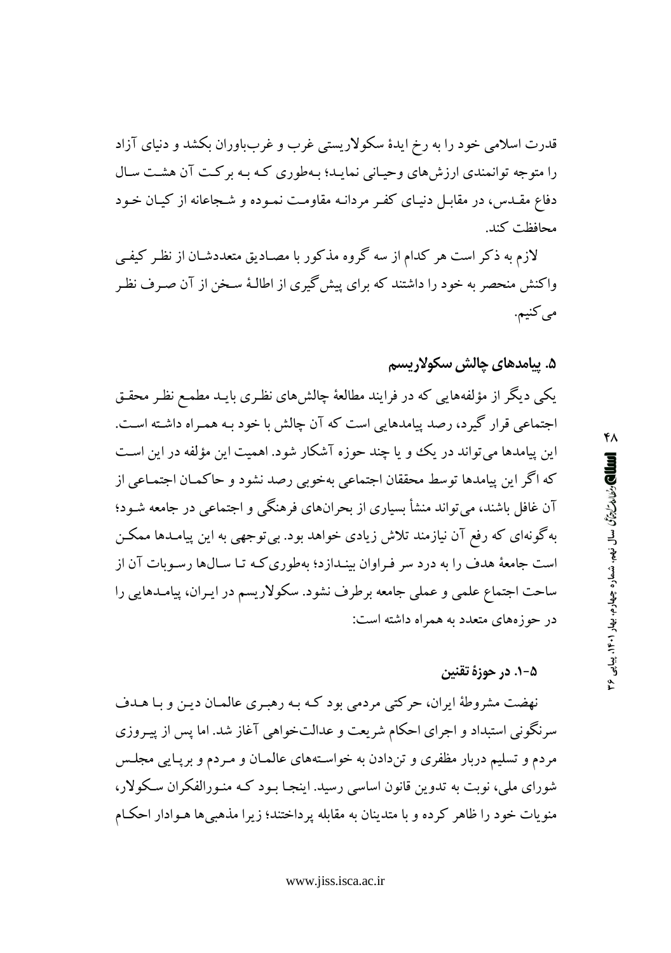قدرت اسلامی خود را به رخ ایدهٔ سکولاریستی غرب و غربباوران بکشد و دنیای آزاد را متوجه توانمندي ارزش هاي وحياني نمايـد؛ بـهطوري كـه بـه بركـت آن هشـت سـال دفاع مقـدس، در مقابـل دنیـای کفـر مردانـه مقاومـت نمـوده و شـجاعانه از کیـان خـود محافظت كند.

لازم به ذکر است هر کدام از سه گروه مذکور با مصـادیق متعددشـان از نظـر کیفـی واکنش منحصر به خود را داشتند که برای پیش گیری از اطالـهٔ سـخن از آن صـرف نظـر مي کنيم.

## ۵. ييامدهاي چالش سكولاريسم

یکمی دیگر از مؤلفههایی که در فرایند مطالعهٔ چالشهای نظـری بایـد مطمـع نظـر محقـق اجتماعی قرار گیرد، رصد پیامدهایی است که آن چالش با خود بـه همـراه داشـته اسـت. این پیامدها می تواند در یک و یا چند حوزه آشکار شود. اهمیت این مؤلفه در این است كه اگر اين پيامدها توسط محققان اجتماعي بهخوبي رصد نشود و حاكمـان اجتمـاعي از آن غافل باشند، می تواند منشأ بسیاری از بحرانهای فرهنگی و اجتماعی در جامعه شـود؛ بهگونهای که رفع آن نیازمند تلاش زیادی خواهد بود. بی توجهی به این پیامـدها ممکـن است جامعهٔ هدف را به درد سر فـراوان بینـدازد؛ بهطوری کـه تـا سـالها رسـوبات آن از ساحت اجتماع علمي و عملي جامعه برطرف نشود. سكولاريسم در ايـران، پيامـدهايي را در حوزههای متعدد به همراه داشته است:

#### ۵-۱. در حوزهٔ تقنین

نهضت مشروطهٔ ایران، حرکتبی مردمی بود کـه بـه رهبـری عالمـان دیـن و بـا هــدف سرنگونی استبداد و اجرای احکام شریعت و عدالتخواهی آغاز شد. اما پس از پیـروزی مردم و تسلیم دربار مظفری و تندادن به خواستههای عالمیان و مـردم و برپیایی مجلـس شورای ملی، نوبت به تدوین قانون اساسی رسید. اینجا بـود کـه منـورالفکران سـکولار، منویات خود را ظاهر کرده و با متدینان به مقابله پرداختند؛ زیرا مذهبی ها هـوادار احکـام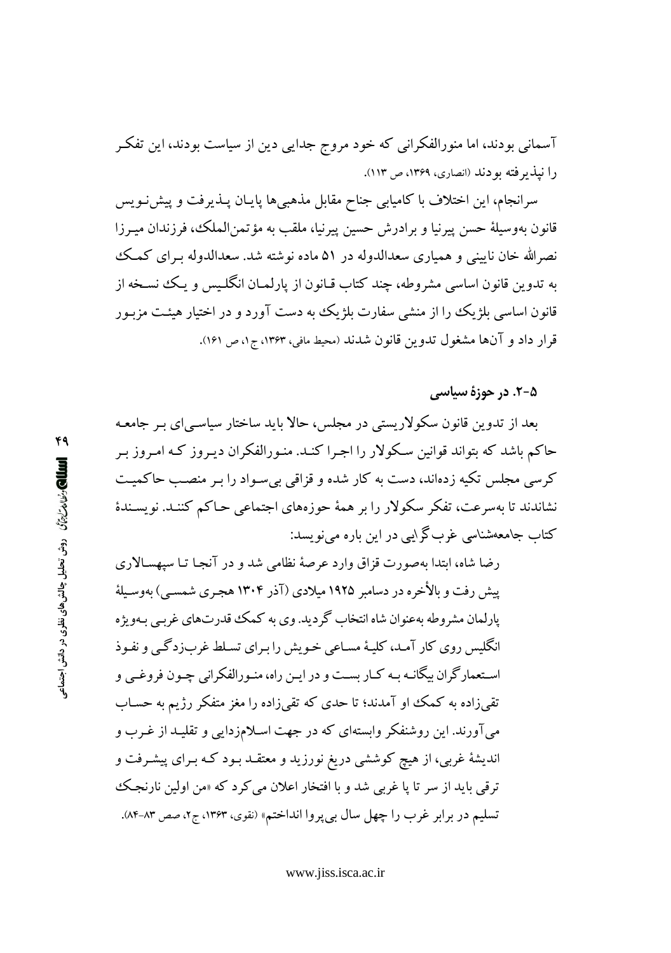آسمانی بودند، اما منورالفکرانی که خود مروج جدایی دین از سیاست بودند، این تفکر را نیذیر فته بو دند (انصاری، ۱۳۶۹، ص ۱۱۳).

سرانجام، این اختلاف با کامیابی جناح مقابل مذهبیها پایـان پـذیرفت و پیشنـویس قانون بهوسيلهٔ حسن پيرنيا و برادرش حسين پيرنيا، ملقب به مؤتمن(الملک، فرزندان ميـرزا نصرالله خان نایینی و همپاری سعدالدوله در ۵۱ ماده نوشته شد. سعدالدوله بـرای کـمـک به تدوین قانون اساسی مشروطه، چند کتاب قـانون از پارلمـان انگلـیس و یـک نسـخه از قانون اساسی بلژیک را از منشی سفارت بلژیک به دست آورد و در اختیار هیئت مزبـور قرار داد و آنها مشغول تدوین قانون شدند (محیط مافی، ۱۳۶۳، ج۱، ص ۱۶۱).

#### ۵-۲. در حوزهٔ سیاسی

بعد از تدوین قانون سکولاریستی در مجلس، حالا باید ساختار سیاسبی ای بـر جامعـه حاکم باشد که بتواند قوانین سکولار را اجـرا کنـد. منـورالفکران دیـروز کـه امـروز بـر کرسی مجلس تکیه زدهاند، دست به کار شده و قزاقی بی سـواد را بـر منصـب حاکمیـت نشاندند تا بهسرعت، تفکر سکولار را بر همهٔ حوزههای اجتماعی حـاکم کننـد. نویسـندهٔ کتاب جامعهشناسی غربگرایی در این باره می نویسد:

رضا شاه، ابتدا بهصورت قزاق وارد عرصهٔ نظامی شد و در آنجـا تـا سپهسـالاری پیش رفت و بالأخره در دسامبر ۱۹۲۵ میلادی (آذر ۱۳۰۴ هجری شمسبی) بهوسـیلهٔ یارلمان مشروطه مەعنوان شاہ انتخاب گردید. وی به کمک قدرتهای غربے بەویژه انگلیس روی کار آمـد، کلیـهٔ مسـاعی خـویش را بـرای تسـلط غربزدگـی و نفـوذ اسـتعمارگران بيگانـه بـه كـار بسـت و در ايـن راه، منـورالفكراني چـون فروغـي و تقی زاده به کمک او آمدند؛ تا حدی که تقی(اده را مغز متفکر رژیم به حساب میآورند. این روشنفکر وابستهای که در جهت اسلامزدایی و تقلیـد از غـرب و اندیشهٔ غربی، از هیچ کوششی دریغ نورزید و معتقـد بـود کـه بـرای پیشـرفت و ترقبي بايد از سر تا يا غربي شد و با افتخار اعلان مي كرد كه «من اولين نارنجك تسليم در برابر غرب را چهل سال بي پروا انداختم» (نقوي، ۱۳۶۳، ج۲، صص ۸۳-۸۴).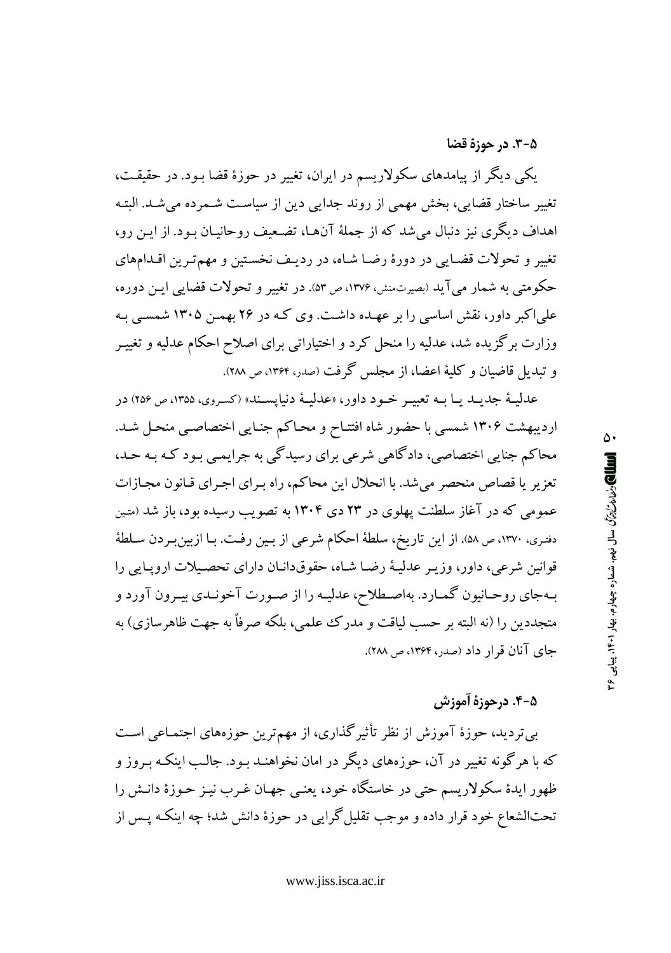۵-۳. در حوزهٔ قضا

یکمی دیگر از پیامدهای سکولاریسم در ایران، تغییر در حوزهٔ قضا بـود. در حقیقـت، تغییر ساختار قضایی، بخش مهمی از روند جدایی دین از سیاست شـمرده می شـد. البتـه اهداف دیگری نیز دنبال می شد که از جملهٔ آنهـا، تضـعیف روحانیـان بـود. از ایــن رو، تغییر و تحولات قضایی در دورهٔ رضا شاه، در ردیف نخستین و مهم تـرین اقـدامهای حکومتی به شمار می آید (بصرتمنش، ۱۳۷۶، ص ۵۳). در تغییر و تحولات قضایی ایـن دوره، علی اکبر داور، نقش اساسی را بر عهـده داشـت. وی کـه در ۲۶ بهمـن ۱۳۰۵ شمسـی بـه وزارت برگز یده شد، عدلیه را منحل کرد و اختیاراتی برای اصلاح احکام عدلیه و تغییـر و تبدیل قاضیان و کلیهٔ اعضا، از مجلس گرفت (صدر، ۱۳۶۴، ص ۲۸۸).

عدليـهٔ جديـد يـا بـه تعبيـر خـود داور، «عدليـهٔ دنيايسـند» (كسروي، ۱۳۵۵، ص ۲۵۶) در اردیبهشت ۱۳۰۶ شمسی با حضور شاه افتتاح و محاکم جنایی اختصاصبی منحل شد. محاکم جنایی اختصاصی، دادگاهی شرعی برای رسیدگی به جرایمـی بـود کـه بـه حـد، تعزیر یا قصاص منحصر میشد. با انحلال این محاکم، راه بـرای اجـرای قـانون مجـازات عمومی که در آغاز سلطنت پهلوی در ۲۳ دی ۱۳۰۴ به تصویب رسیده بود، باز شد (متین دفتري، ١٣٧٠، ص ٥٨). از اين تاريخ، سلطة احكام شرعي از بـين رفـت. بـا ازبينبـردن سـلطة قوانین شرعی، داور، وزیـر عدلیـهٔ رضـا شـاه، حقوقدانـان دارای تحصـیلات اروپـایی را بـهجاي روحـانيون گمـارد. بهاصـطلاح، عدليـه را از صـورت آخونـدي بيـرون آورد و متجددین را (نه البته بر حسب لیاقت و مدرک علمی، بلکه صرفاً به جهت ظاهر سازی) به جای آنان قرار داد (صدر، ۱۳۶۴، ص ۲۸۸).

۵-۴. درحوزهٔ آموزش

بی تردید، حوزهٔ آموزش از نظر تأثیرگذاری، از مهمترین حوزههای اجتمـاعی اسـت که با هرگونه تغییر در آن، حوزههای دیگر در امان نخواهنـد بـود. جالـب اینکـه بـروز و ظهور ایدهٔ سکولاریسم حتی در خاستگاه خود، یعنبی جهـان غـرب نیـز حـوزهٔ دانـش را تحتالشعاع خود قرار داده و موجب تقلیل گرایی در حوزهٔ دانش شد؛ چه اینکه پس از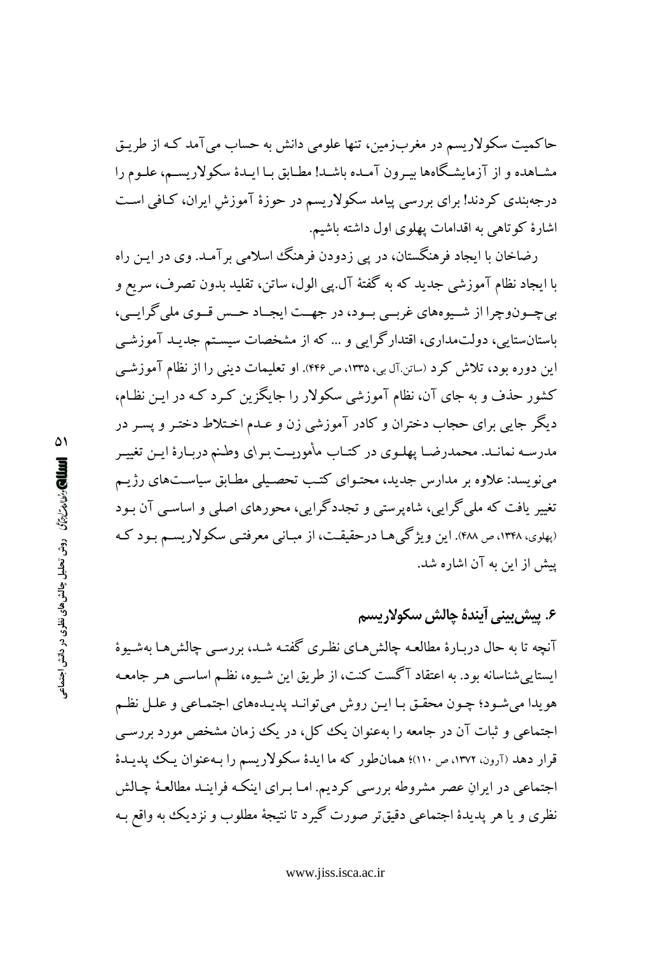حاکمیت سکولاریسم در مغربزمین، تنها علومی دانش به حساب میآمد کـه از طریـق مشـاهده و از آزمایشـگاهها بیـرون آمـده باشـد! مطـابق بـا ایـدهٔ سکولاریســم، علـوم را درجهبندی کردند! برای بررسی پیامد سکولاریسم در حوزهٔ آموزش ایران، کـافی اسـت اشارهٔ کوتاهی به اقدامات یهلوی اول داشته باشیم.

رضاخان با ایجاد فرهنگستان، در پی زدودن فرهنگ اسلامی برآمـد. وی در ایـن راه با ایجاد نظام آموزشی جدید که به گفتهٔ آل پی الول، ساتن، تقلید بدون تصرف، سریع و بي چــونوچرا از شــيوههاي غربــي بــود، در جهــت ايجــاد حــس قــوي ملي گرايــي، باستانستایی، دولتمداری، اقتدارگرایی و … که از مشخصات سیستم جدیـد آموزشـی این دوره بود، تلاش کرد (سانن آل بی، ۱۳۳۵، ص ۴۴۶). او تعلیمات دینی را از نظام آموزشـی کشور حذف و به جای آن، نظام آموزشی سکولار را جایگزین کـرد کـه در ایـن نظـام، دیگر جایی برای حجاب دختران و کادر آموزشی زن و عـدم اخـتلاط دختـر و پسـر در مدرسـه نمانـد. محمدرضـا پهلـوي در كتـاب مأموريـت بـراي وطـنم دربـارهٔ ايـن تغييـر می نویسد: علاوه بر مدارس جدید، محتـوای کتـب تحصـیلی مطـابق سیاسـتهای رژیـم تغییر یافت که ملی گرایی، شاهپرستی و تجددگرایی، محورهای اصلی و اساسی آن بود (پهلوي، ۱۳۴۸، ص ۴۸۸). اين ويژگي هـا درحقيقـت، از مبـانبي معرفتـبي سکولاريسـم بـود کـه يبش از اين به آن اشاره شد.

۶. پیش بینی آیندهٔ چالش سکولاریسم آنچه تا به حال دربـارهٔ مطالعـه چالش هـای نظـری گفتـه شـد، بررسـی چالش هـا بهشـبوهٔ ایستایی شناسانه بود. به اعتقاد آگست کنت، از طریق این شیوه، نظـم اساسـی هـر جامعـه هويدا مي شـود؛ چـون محقـق بـا ايـن روش مي توانـد پديـدههاي اجتمـاعي و علـل نظـم اجتماعی و ثبات آن در جامعه را بهعنوان یک کل، در یک زمان مشخص مورد بررسی قرار دهد (آرون، ۱۳۷۲، ص ۱۱۰)؛ همانطور که ما ایدهٔ سکولاریسم را بـهعنوان یـک پدیـدهٔ اجتماعی در ایرانِ عصر مشروطه بررسی کردیم. امـا بـرای اینکـه فراینـد مطالعـهٔ چـالش نظري و يا هر پديدهٔ اجتماعي دقيقتر صورت گيرد تا نتيجهٔ مطلوب و نزديک به واقع بـه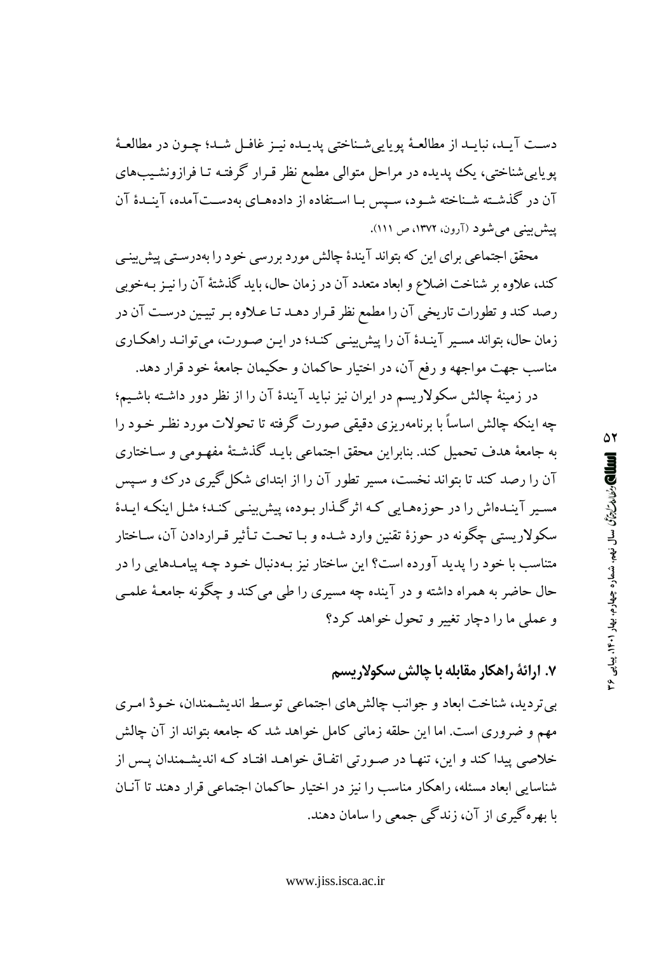دست آيـد، نبايـد از مطالعـهٔ يويايي شـناختي پديـده نيـز غافـل شـد؛ چـون در مطالعـهٔ پویاییشناختی، یک پدیده در مراحل متوالی مطمع نظر قـرار گرفتـه تـا فرازونشـیبهای آن در گذشـته شـناخته شـود، سـيس بـا اسـتفاده از دادههـاي بهدسـتآمده، آينـدۀ آن پیش بینی می شو د (آرون، ۱۳۷۲، ص ۱۱۱).

محقق اجتماعی برای این که بتواند آیندهٔ چالش مورد بررسی خود را بهدرستی پیش پینی كند، علاوه بر شناخت اضلاع و ابعاد متعدد آن در زمان حال، بايد گذشتهٔ آن را نيـز بـهخوبي رصد کند و تطورات تاریخی آن را مطمع نظر قـرار دهـد تـا عـلاوه بـر تبيـين درسـت آن در زمان حال، بتواند مسـير آينـدهٔ آن را پيش بينـي كنـد؛ در ايـن صـورت، مي توانـد راهكـاري مناسب جهت مواجهه و رفع آن، در اختیار حاکمان و حکیمان جامعهٔ خود قرار دهد.

در زمینهٔ چالش سکولاریسم در ایران نیز نباید آیندهٔ آن را از نظر دور داشته باشیم؛ چه اینکه چالش اساساً با برنامهریزی دقیقی صورت گرفته تا تحولات مورد نظـر خـود را به جامعهٔ هدف تحمیل کند. بنابراین محقق اجتماعی بایـد گذشـتهٔ مفهـومی و سـاختاری آن را رصد کند تا بتواند نخست، مسیر تطور آن را از ابتدای شکل گیری درک و سـیس مسیر آینـدهاش را در حوزههـایی کـه اثرگـذار بـوده، پیش بینـی کنـد؛ مثـل اینکـه ایـدهٔ سکولاریستی چگونه در حوزهٔ تقنین وارد شـده و بـا تحـت تـأثیر قـراردادن آن، سـاختار متناسب با خود را يديد آورده است؟ اين ساختار نيز بـهدنبال خـود چـه ييامـدهايي را در حال حاضر به همراه داشته و در آینده چه مسیری را طی می کند و چگونه جامعـهٔ علمـی و عملي ما را دجار تغيير و تحول خواهد كرد؟

۷. ارائهٔ راهکار مقابله با چالش سکولاریسم

بي ترديد، شناخت ابعاد و جوانب چالش هاي اجتماعي توسط انديشـمندان، خـودْ امـري مهم و ضروری است. اما این حلقه زمانی کامل خواهد شد که جامعه بتواند از آن چالش خلاصی پیدا کند و این، تنهـا در صـورتی اتفـاق خواهـد افتـاد کـه اندیشـمندان پـس از شناسایی ایعاد مسئله، راهکار مناسب را نیز در اختیار حاکمان اجتماعی قرار دهند تا آنـان با بھرہگیری از آن، زندگی جمعی را سامان دھند.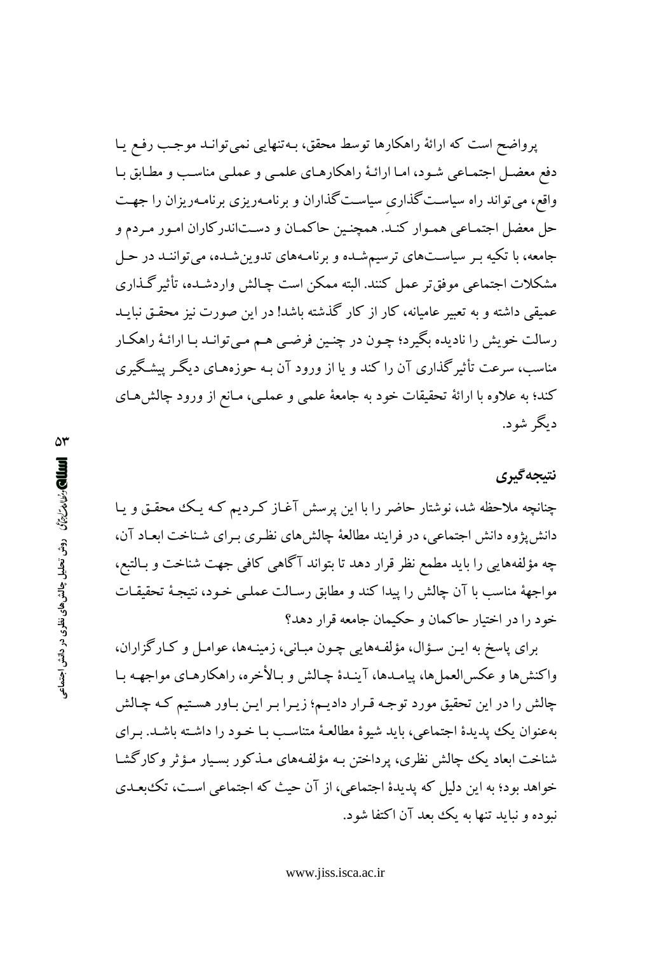پرواضح است که ارائهٔ راهکارها توسط محقق، بـهتنهایی نمی توانـد موجـب رفـع یـا دفع معضـل اجتمـاعي شـود، امـا ارائـهٔ راهكارهـاي علمـي و عملـي مناسـب و مطـابق بـا واقع، می تواند راه سیاست گذاری سیاست گذاران و برنامـهریزی برنامـهریزان را جهـت حل معضل اجتمـاعي همـوار كنـد. همچنـين حاكمـان و دسـتاندركاران امـور مـردم و جامعه، با تکیه بـر سیاسـتهای ترسیمشـده و برنامـههای تدوینشـده، می تواننـد در حـل مشكلات اجتماعي موفق تر عمل كنند. البته ممكن است چـالش واردشـده، تأثير گـذاري عمیقی داشته و به تعبیر عامیانه، کار از کار گذشته باشد! در این صورت نیز محقـق نبایــد رسالت خويش را ناديده بگيرد؛ چـون در چنـين فرضـي هـم مـي توانـد بـا ارائـهٔ راهكـار مناسب، سرعت تأثیرگذاری آن را کند و یا از ورود آن بـه حوزههـای دیگـر پیشـگیری کند؛ به علاوه با ارائهٔ تحقیقات خود به جامعهٔ علمی و عملـی، مـانع از ورود چالش۵مـای دىگە شەد.

# نتىجەگېرى

چنانچه ملاحظه شد، نوشتار حاضر را با این پرسش آغـاز کـردیم کـه یـک محقـق و یـا دانشپزوه دانش اجتماعی، در فرایند مطالعهٔ چالشهای نظری برای شناخت ابعاد آن، چه مؤلفههایی را باید مطمع نظر قرار دهد تا بتواند آگاهی کافی جهت شناخت و بـالتبع، مواجههٔ مناسب با آن چالش را پیدا کند و مطابق رسالت عملمی خـود، نتیجـهٔ تحقیقـات خود را در اختیار حاکمان و حکیمان جامعه قرار دهد؟

برای پاسخ به ایـن سـؤال، مؤلفـههایی چـون مبـانی، زمینـهها، عوامـل و کـارگزاران، واكنشها و عكسالعملها، ييامـدها، آينـدۀ چـالش و بـالأخره، راهكارهـاي مواجهـه بـا چالش را در این تحقیق مورد توجه قـرار دادیـم؛ زیـرا بـر ایـن بـاور هسـتیم کـه چـالش بهعنوان یک پدیدهٔ اجتماعی، باید شیوهٔ مطالعهٔ متناسب بـا خـود را داشـته باشـد. بـرای شناخت ابعاد یک چالش نظری، پرداختن بـه مؤلفـههای مـذکور بسـیار مـؤثر وکارگشـا خواهد بود؛ به این دلیل که پدیدهٔ اجتماعی، از آن حیث که اجتماعی است، تک بعدی نبوده و نباید تنها به یک بعد آن اکتفا شود.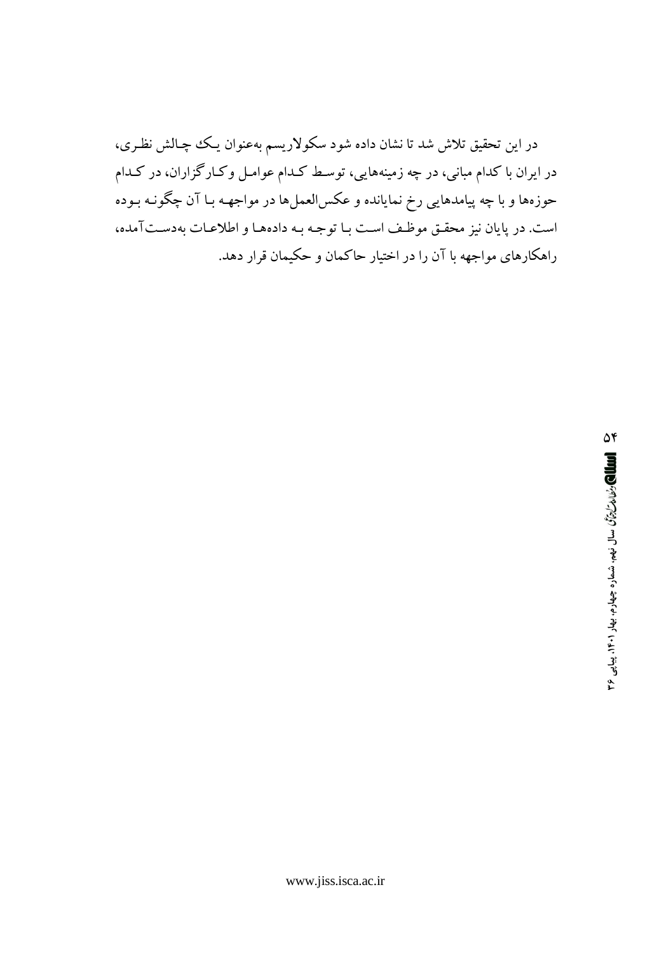در این تحقیق تلاش شد تا نشان داده شود سکولاریسم بهعنوان یـک چچالش نظـری، در ایران با کدام مبانی، در چه زمینههایی، توسط کـدام عوامـل وکـارگزاران، در کـدام حوزهها و با چه پيامدهايي رخ نمايانده و عكسالعملها در مواجهـه بـا آن چگونـه بـوده است. در پایان نیز محقـق موظـف اسـت بـا توجـه بـه دادههـا و اطلاعـات بهدسـتآمده، راهکارهای مواجهه با آن را در اختیار حاکمان و حکیمان قرار دهد.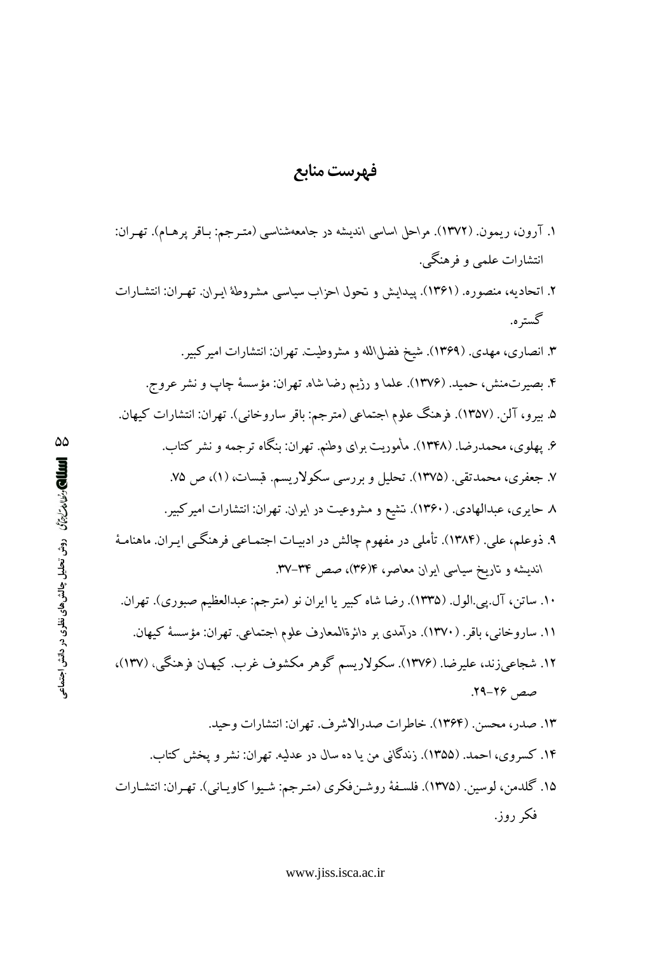### فهرست منابع

- ۱. آرون، ریمون. (۱۳۷۲). مراحل اساسی اندیشه در جامعهشناسی (متـرجم: بـاقر پرهـام). تهـران: انتشارات علمی و فرهنگی.
- ۲. اتحادیه، منصوره. (۱۳۶۱). پیدایش و تحول احزاب سیاسی مشـروطهٔ ایـران. تهـران: انتشـارات گستر ه.
	- ۳. انصاری، مهدی. (۱۳۶۹). شیخ فضل\لله و مشروطیت. تهران: انتشارات امیرکبیر.
	- ۴. بصیرتمنش، حمید. (۱۳۷۶). علما و رژیم رضا شاه. تهران: مؤسسهٔ چاپ و نشر عروج.
- ۵. بيرو، آلن. (١٣٥٧). فرهنگ علوم اجتماعي (مترجم: باقر ساروخاني). تهران: انتشارات كيهان.
	- ۶. یهلوی، محمدرضا. (۱۳۴۸). مأموریت برای وطنم. تهران: بنگاه ترجمه و نشر کتاب. ۷. جعفري، محمدتقي. (١٣٧۵). تحليل و بررسي سكولاريسم. قبسات، (١)، ص ٧۵.
		- ۸ حایری، عبدالهادی. (۱۳۶۰). تشیع و مشروعیت در ایران. تهران: انتشارات امیرکبیر.
- ۹. ذوعلم، علی. (۱۳۸۴). تأملی در مفهوم چالش در ادبیـات اجتمـاعی فرهنگـی ایـران. ماهنامـهٔ اندیشه و تاریخ سیاسی ایران معاصر، ۴(۳۶)، صص ۳۴–۳۷.
- ۱۰. ساتن، آل یی الول. (۱۳۳۵). رضا شاه کبیر یا ایران نو (مترجم: عبدالعظیم صبوری). تهران. ۱۱. ساروخانبي، باقر. (۱۳۷۰). درآمدي بر دائرةالمعارف علوم اجتماعي. تهران: مؤسسهٔ كيهان.
- ۱۲. شجاعی زند، علیرضا. (۱۳۷۶). سکولاریسم گوهر مکشوف غرب. کیهـان فرهنگی، (۱۳۷)، صص ۲۶–۲۹.
	- ١٣. صدر، محسن. (١٣٤٤). خاطرات صدرالاشرف. تهران: انتشارات وحيد. ۱۴. کسروی، احمد. (۱۳۵۵). زندگانی من یا ده سال در عدلیه. تهران: نشر و پخش کتاب.
- ۱۵. گلدمن، لوسین. (۱۳۷۵). فلسـفهٔ روشـنفکری (متـرجم: شـیوا کاویـانی). تهـران: انتشـارات فکر روز.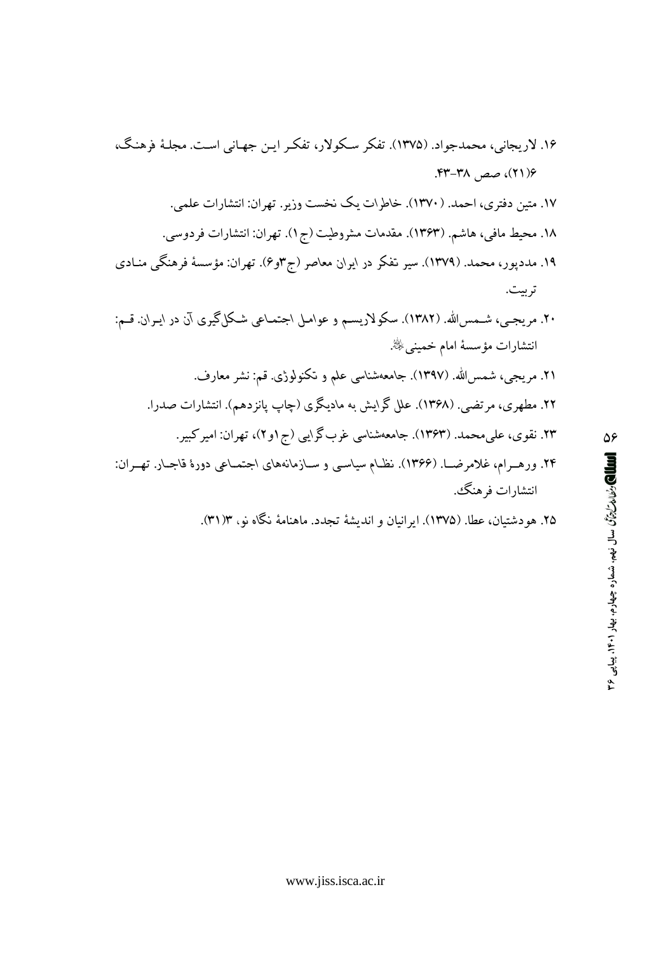۲۵. هودشتیان، عطا. (۱۳۷۵). ایرانیان و اندیشهٔ تجدد. ماهنامهٔ نگاه نو، ۳۱/۳).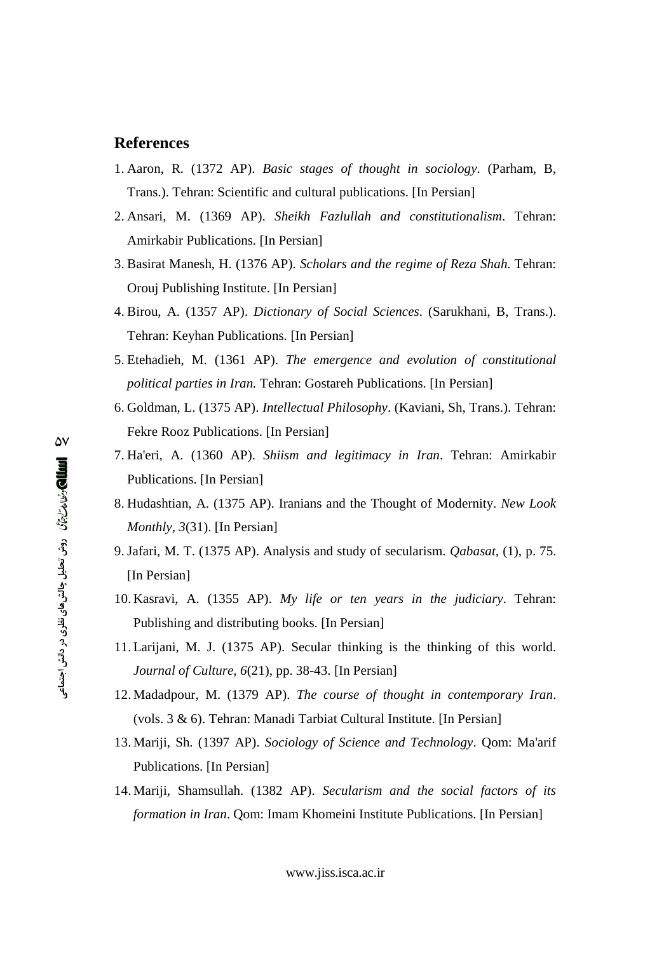#### **References**

- 1. Aaron, R. (1372 AP). *Basic stages of thought in sociology*. (Parham, B, Trans.). Tehran: Scientific and cultural publications. [In Persian]
- 2. Ansari, M. (1369 AP). *Sheikh Fazlullah and constitutionalism*. Tehran: Amirkabir Publications. [In Persian]
- 3. Basirat Manesh, H. (1376 AP). *Scholars and the regime of Reza Shah*. Tehran: Orouj Publishing Institute. [In Persian]
- 4. Birou, A. (1357 AP). *Dictionary of Social Sciences*. (Sarukhani, B, Trans.). Tehran: Keyhan Publications. [In Persian]
- 5. Etehadieh, M. (1361 AP). *The emergence and evolution of constitutional political parties in Iran.* Tehran: Gostareh Publications. [In Persian]
- 6. Goldman, L. (1375 AP). *Intellectual Philosophy*. (Kaviani, Sh, Trans.). Tehran: Fekre Rooz Publications. [In Persian]
- 7. Ha'eri, A. (1360 AP). *Shiism and legitimacy in Iran*. Tehran: Amirkabir Publications. [In Persian]
- 8. Hudashtian, A. (1375 AP). Iranians and the Thought of Modernity. *New Look Monthly, 3*(31). [In Persian]
- 9. Jafari, M. T. (1375 AP). Analysis and study of secularism. *Qabasat*, (1), p. 75. [In Persian]
- 10. Kasravi, A. (1355 AP). *My life or ten years in the judiciary*. Tehran: Publishing and distributing books. [In Persian]
- 11. Larijani, M. J. (1375 AP). Secular thinking is the thinking of this world. *Journal of Culture, 6*(21), pp. 38-43. [In Persian]
- 12. Madadpour, M. (1379 AP). *The course of thought in contemporary Iran*. (vols. 3 & 6). Tehran: Manadi Tarbiat Cultural Institute. [In Persian]
- 13. Mariji, Sh. (1397 AP). *Sociology of Science and Technology*. Qom: Ma'arif Publications. [In Persian]
- 14. Mariji, Shamsullah. (1382 AP). *Secularism and the social factors of its formation in Iran*. Qom: Imam Khomeini Institute Publications. [In Persian]